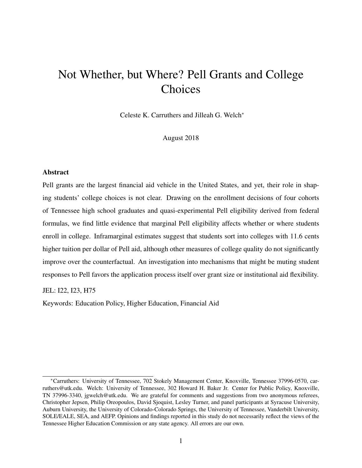# Not Whether, but Where? Pell Grants and College Choices

Celeste K. Carruthers and Jilleah G. Welch*<sup>∗</sup>*

August 2018

#### Abstract

Pell grants are the largest financial aid vehicle in the United States, and yet, their role in shaping students' college choices is not clear. Drawing on the enrollment decisions of four cohorts of Tennessee high school graduates and quasi-experimental Pell eligibility derived from federal formulas, we find little evidence that marginal Pell eligibility affects whether or where students enroll in college. Inframarginal estimates suggest that students sort into colleges with 11.6 cents higher tuition per dollar of Pell aid, although other measures of college quality do not significantly improve over the counterfactual. An investigation into mechanisms that might be muting student responses to Pell favors the application process itself over grant size or institutional aid flexibility.

JEL: I22, I23, H75

Keywords: Education Policy, Higher Education, Financial Aid

*<sup>∗</sup>*Carruthers: University of Tennessee, 702 Stokely Management Center, Knoxville, Tennessee 37996-0570, carruthers@utk.edu. Welch: University of Tennessee, 302 Howard H. Baker Jr. Center for Public Policy, Knoxville, TN 37996-3340, jgwelch@utk.edu. We are grateful for comments and suggestions from two anonymous referees, Christopher Jepsen, Philip Oreopoulos, David Sjoquist, Lesley Turner, and panel participants at Syracuse University, Auburn University, the University of Colorado-Colorado Springs, the University of Tennessee, Vanderbilt University, SOLE/EALE, SEA, and AEFP. Opinions and findings reported in this study do not necessarily reflect the views of the Tennessee Higher Education Commission or any state agency. All errors are our own.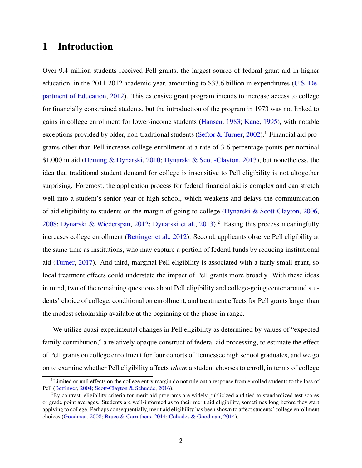# 1 Introduction

Over 9.4 million students received Pell grants, the largest source of federal grant aid in higher education, in the 2011-2012 academic year, amounting to \$33.6 billion in expenditures ([U.S. De](#page-28-0)[partment of Education,](#page-28-0) [2012\)](#page-28-0). This extensive grant program intends to increase access to college for financially constrained students, but the introduction of the program in 1973 was not linked to gains in college enrollment for lower-income students [\(Hansen](#page-27-0), [1983;](#page-27-0) [Kane,](#page-27-0) [1995](#page-27-0)), with notable exceptions provided by older, non-traditional students ([Seftor & Turner,](#page-28-0) [2002](#page-28-0)).<sup>1</sup> Financial aid programs other than Pell increase college enrollment at a rate of 3-6 percentage points per nominal \$1,000 in aid ([Deming & Dynarski](#page-26-0), [2010](#page-26-0); [Dynarski & Scott-Clayton](#page-26-0), [2013](#page-26-0)), but nonetheless, the idea that traditional student demand for college is insensitive to Pell eligibility is not altogether surprising. Foremost, the application process for federal financial aid is complex and can stretch well into a student's senior year of high school, which weakens and delays the communication of aid eligibility to students on the margin of going to college ([Dynarski & Scott-Clayton,](#page-26-0) [2006](#page-26-0), [2008;](#page-26-0) [Dynarski & Wiederspan,](#page-26-0) [2012](#page-26-0); [Dynarski et al.](#page-26-0), [2013](#page-26-0)).<sup>2</sup> Easing this process meaningfully increases college enrollment [\(Bettinger et al.](#page-25-0), [2012](#page-25-0)). Second, applicants observe Pell eligibility at the same time as institutions, who may capture a portion of federal funds by reducing institutional aid [\(Turner](#page-28-0), [2017\)](#page-28-0). And third, marginal Pell eligibility is associated with a fairly small grant, so local treatment effects could understate the impact of Pell grants more broadly. With these ideas in mind, two of the remaining questions about Pell eligibility and college-going center around students' choice of college, conditional on enrollment, and treatment effects for Pell grants larger than the modest scholarship available at the beginning of the phase-in range.

We utilize quasi-experimental changes in Pell eligibility as determined by values of "expected family contribution," a relatively opaque construct of federal aid processing, to estimate the effect of Pell grants on college enrollment for four cohorts of Tennessee high school graduates, and we go on to examine whether Pell eligibility affects *where* a student chooses to enroll, in terms of college

 $1$ Limited or null effects on the college entry margin do not rule out a response from enrolled students to the loss of Pell [\(Bettinger](#page-25-0), [2004](#page-25-0); [Scott-Clayton & Schudde,](#page-28-0) [2016\)](#page-28-0).

 ${}^{2}$ By contrast, eligibility criteria for merit aid programs are widely publicized and tied to standardized test scores or grade point averages. Students are well-informed as to their merit aid eligibility, sometimes long before they start applying to college. Perhaps consequentially, merit aid eligibility has been shown to affect students' college enrollment choices ([Goodman,](#page-26-0) [2008;](#page-26-0) [Bruce & Carruthers,](#page-25-0) [2014;](#page-25-0) [Cohodes & Goodman,](#page-25-0) [2014\)](#page-25-0).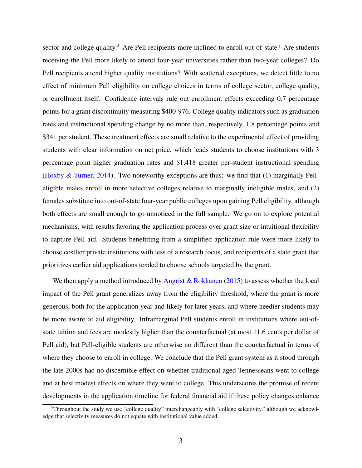sector and college quality.<sup>3</sup> Are Pell recipients more inclined to enroll out-of-state? Are students receiving the Pell more likely to attend four-year universities rather than two-year colleges? Do Pell recipients attend higher quality institutions? With scattered exceptions, we detect little to no effect of minimum Pell eligibility on college choices in terms of college sector, college quality, or enrollment itself. Confidence intervals rule out enrollment effects exceeding 0.7 percentage points for a grant discontinuity measuring \$400-976. College quality indicators such as graduation rates and instructional spending change by no more than, respectively, 1.8 percentage points and \$341 per student. These treatment effects are small relative to the experimental effect of providing students with clear information on net price, which leads students to choose institutions with 3 percentage point higher graduation rates and \$1,418 greater per-student instructional spending ([Hoxby & Turner](#page-27-0), [2014\)](#page-27-0). Two noteworthy exceptions are thus: we find that (1) marginally Pelleligible males enroll in more selective colleges relative to marginally ineligible males, and (2) females substitute into out-of-state four-year public colleges upon gaining Pell eligibility, although both effects are small enough to go unnoticed in the full sample. We go on to explore potential mechanisms, with results favoring the application process over grant size or intuitional flexibility to capture Pell aid. Students benefitting from a simplified application rule were more likely to choose costlier private institutions with less of a research focus, and recipients of a state grant that prioritizes earlier aid applications tended to choose schools targeted by the grant.

We then apply a method introduced by [Angrist & Rokkanen](#page-25-0) ([2015\)](#page-25-0) to assess whether the local impact of the Pell grant generalizes away from the eligibility threshold, where the grant is more generous, both for the application year and likely for later years, and where needier students may be more aware of aid eligibility. Inframarginal Pell students enroll in institutions where out-ofstate tuition and fees are modestly higher than the counterfactual (at most 11.6 cents per dollar of Pell aid), but Pell-eligible students are otherwise no different than the counterfactual in terms of where they choose to enroll in college. We conclude that the Pell grant system as it stood through the late 2000s had no discernible effect on whether traditional-aged Tennesseans went to college and at best modest effects on where they went to college. This underscores the promise of recent developments in the application timeline for federal financial aid if these policy changes enhance

<sup>&</sup>lt;sup>3</sup>Throughout the study we use "college quality" interchangeably with "college selectivity," although we acknowledge that selectivity measures do not equate with institutional value added.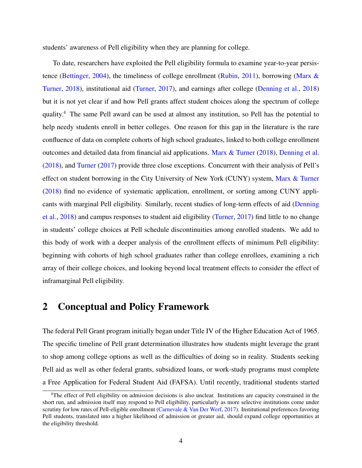<span id="page-3-0"></span>students' awareness of Pell eligibility when they are planning for college.

To date, researchers have exploited the Pell eligibility formula to examine year-to-year persistence ([Bettinger](#page-25-0), [2004](#page-25-0)), the timeliness of college enrollment ([Rubin](#page-28-0), [2011\)](#page-28-0), borrowing [\(Marx &](#page-27-0) [Turner,](#page-27-0) [2018\)](#page-27-0), institutional aid [\(Turner](#page-28-0), [2017\)](#page-28-0), and earnings after college [\(Denning et al.](#page-26-0), [2018](#page-26-0)) but it is not yet clear if and how Pell grants affect student choices along the spectrum of college quality.<sup>4</sup> The same Pell award can be used at almost any institution, so Pell has the potential to help needy students enroll in better colleges. One reason for this gap in the literature is the rare confluence of data on complete cohorts of high school graduates, linked to both college enrollment outcomes and detailed data from financial aid applications. [Marx & Turner](#page-27-0) [\(2018](#page-27-0)), [Denning et al.](#page-26-0) ([2018\)](#page-26-0), and [Turner](#page-28-0) [\(2017](#page-28-0)) provide three close exceptions. Concurrent with their analysis of Pell's effect on student borrowing in the City University of New York (CUNY) system, [Marx & Turner](#page-27-0) ([2018\)](#page-27-0) find no evidence of systematic application, enrollment, or sorting among CUNY applicants with marginal Pell eligibility. Similarly, recent studies of long-term effects of aid ([Denning](#page-26-0) [et al.](#page-26-0), [2018](#page-26-0)) and campus responses to student aid eligibility [\(Turner](#page-28-0), [2017](#page-28-0)) find little to no change in students' college choices at Pell schedule discontinuities among enrolled students. We add to this body of work with a deeper analysis of the enrollment effects of minimum Pell eligibility: beginning with cohorts of high school graduates rather than college enrollees, examining a rich array of their college choices, and looking beyond local treatment effects to consider the effect of inframarginal Pell eligibility.

### 2 Conceptual and Policy Framework

The federal Pell Grant program initially began under Title IV of the Higher Education Act of 1965. The specific timeline of Pell grant determination illustrates how students might leverage the grant to shop among college options as well as the difficulties of doing so in reality. Students seeking Pell aid as well as other federal grants, subsidized loans, or work-study programs must complete a Free Application for Federal Student Aid (FAFSA). Until recently, traditional students started

<sup>4</sup>The effect of Pell eligibility on admission decisions is also unclear. Institutions are capacity constrained in the short run, and admission itself may respond to Pell eligibility, particularly as more selective institutions come under scrutiny for low rates of Pell-eligible enrollment [\(Carnevale & Van Der Werf,](#page-25-0) [2017](#page-25-0)). Institutional preferences favoring Pell students, translated into a higher likelihood of admission or greater aid, should expand college opportunities at the eligibility threshold.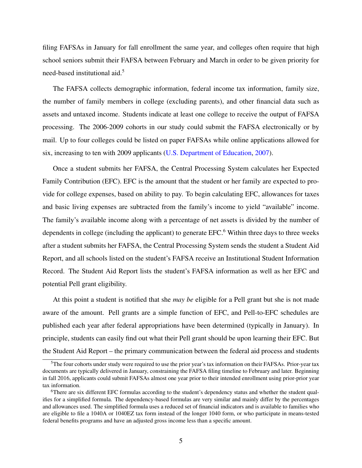filing FAFSAs in January for fall enrollment the same year, and colleges often require that high school seniors submit their FAFSA between February and March in order to be given priority for need-based institutional aid.<sup>5</sup>

The FAFSA collects demographic information, federal income tax information, family size, the number of family members in college (excluding parents), and other financial data such as assets and untaxed income. Students indicate at least one college to receive the output of FAFSA processing. The 2006-2009 cohorts in our study could submit the FAFSA electronically or by mail. Up to four colleges could be listed on paper FAFSAs while online applications allowed for six, increasing to ten with 2009 applicants ([U.S. Department of Education,](#page-28-0) [2007\)](#page-28-0).

Once a student submits her FAFSA, the Central Processing System calculates her Expected Family Contribution (EFC). EFC is the amount that the student or her family are expected to provide for college expenses, based on ability to pay. To begin calculating EFC, allowances for taxes and basic living expenses are subtracted from the family's income to yield "available" income. The family's available income along with a percentage of net assets is divided by the number of dependents in college (including the applicant) to generate EFC.<sup>6</sup> Within three days to three weeks after a student submits her FAFSA, the Central Processing System sends the student a Student Aid Report, and all schools listed on the student's FAFSA receive an Institutional Student Information Record. The Student Aid Report lists the student's FAFSA information as well as her EFC and potential Pell grant eligibility.

At this point a student is notified that she *may be* eligible for a Pell grant but she is not made aware of the amount. Pell grants are a simple function of EFC, and Pell-to-EFC schedules are published each year after federal appropriations have been determined (typically in January). In principle, students can easily find out what their Pell grant should be upon learning their EFC. But the Student Aid Report – the primary communication between the federal aid process and students

<sup>&</sup>lt;sup>5</sup>The four cohorts under study were required to use the prior year's tax information on their FAFSAs. Prior-year tax documents are typically delivered in January, constraining the FAFSA filing timeline to February and later. Beginning in fall 2016, applicants could submit FAFSAs almost one year prior to their intended enrollment using prior-prior year tax information.

<sup>6</sup>There are six different EFC formulas according to the student's dependency status and whether the student qualifies for a simplified formula. The dependency-based formulas are very similar and mainly differ by the percentages and allowances used. The simplified formula uses a reduced set of financial indicators and is available to families who are eligible to file a 1040A or 1040EZ tax form instead of the longer 1040 form, or who participate in means-tested federal benefits programs and have an adjusted gross income less than a specific amount.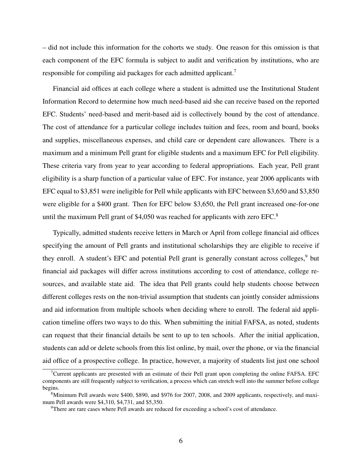– did not include this information for the cohorts we study. One reason for this omission is that each component of the EFC formula is subject to audit and verification by institutions, who are responsible for compiling aid packages for each admitted applicant.<sup>7</sup>

Financial aid offices at each college where a student is admitted use the Institutional Student Information Record to determine how much need-based aid she can receive based on the reported EFC. Students' need-based and merit-based aid is collectively bound by the cost of attendance. The cost of attendance for a particular college includes tuition and fees, room and board, books and supplies, miscellaneous expenses, and child care or dependent care allowances. There is a maximum and a minimum Pell grant for eligible students and a maximum EFC for Pell eligibility. These criteria vary from year to year according to federal appropriations. Each year, Pell grant eligibility is a sharp function of a particular value of EFC. For instance, year 2006 applicants with EFC equal to \$3,851 were ineligible for Pell while applicants with EFC between \$3,650 and \$3,850 were eligible for a \$400 grant. Then for EFC below \$3,650, the Pell grant increased one-for-one until the maximum Pell grant of \$4,050 was reached for applicants with zero EFC.<sup>8</sup>

Typically, admitted students receive letters in March or April from college financial aid offices specifying the amount of Pell grants and institutional scholarships they are eligible to receive if they enroll. A student's EFC and potential Pell grant is generally constant across colleges,<sup>9</sup> but financial aid packages will differ across institutions according to cost of attendance, college resources, and available state aid. The idea that Pell grants could help students choose between different colleges rests on the non-trivial assumption that students can jointly consider admissions and aid information from multiple schools when deciding where to enroll. The federal aid application timeline offers two ways to do this. When submitting the initial FAFSA, as noted, students can request that their financial details be sent to up to ten schools. After the initial application, students can add or delete schools from this list online, by mail, over the phone, or via the financial aid office of a prospective college. In practice, however, a majority of students list just one school

 $7$ Current applicants are presented with an estimate of their Pell grant upon completing the online FAFSA. EFC components are still frequently subject to verification, a process which can stretch well into the summer before college begins.

<sup>&</sup>lt;sup>8</sup>Minimum Pell awards were \$400, \$890, and \$976 for 2007, 2008, and 2009 applicants, respectively, and maximum Pell awards were \$4,310, \$4,731, and \$5,350.

<sup>&</sup>lt;sup>9</sup>There are rare cases where Pell awards are reduced for exceeding a school's cost of attendance.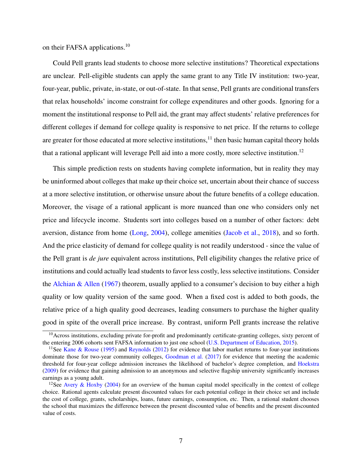on their FAFSA applications.<sup>10</sup>

Could Pell grants lead students to choose more selective institutions? Theoretical expectations are unclear. Pell-eligible students can apply the same grant to any Title IV institution: two-year, four-year, public, private, in-state, or out-of-state. In that sense, Pell grants are conditional transfers that relax households' income constraint for college expenditures and other goods. Ignoring for a moment the institutional response to Pell aid, the grant may affect students' relative preferences for different colleges if demand for college quality is responsive to net price. If the returns to college are greater for those educated at more selective institutions, $<sup>11</sup>$  then basic human capital theory holds</sup> that a rational applicant will leverage Pell aid into a more costly, more selective institution.<sup>12</sup>

This simple prediction rests on students having complete information, but in reality they may be uninformed about colleges that make up their choice set, uncertain about their chance of success at a more selective institution, or otherwise unsure about the future benefits of a college education. Moreover, the visage of a rational applicant is more nuanced than one who considers only net price and lifecycle income. Students sort into colleges based on a number of other factors: debt aversion, distance from home [\(Long,](#page-27-0) [2004](#page-27-0)), college amenities ([Jacob et al.,](#page-27-0) [2018](#page-27-0)), and so forth. And the price elasticity of demand for college quality is not readily understood - since the value of the Pell grant is *de jure* equivalent across institutions, Pell eligibility changes the relative price of institutions and could actually lead students to favor less costly, less selective institutions. Consider the [Alchian & Allen](#page-25-0) ([1967\)](#page-25-0) theorem, usually applied to a consumer's decision to buy either a high quality or low quality version of the same good. When a fixed cost is added to both goods, the relative price of a high quality good decreases, leading consumers to purchase the higher quality good in spite of the overall price increase. By contrast, uniform Pell grants increase the relative

 $10$ Across institutions, excluding private for-profit and predominantly certificate-granting colleges, sixty percent of the entering 2006 cohorts sent FAFSA information to just one school ([U.S. Department of Education,](#page-28-0) [2015\)](#page-28-0).

<sup>&</sup>lt;sup>11</sup>See [Kane & Rouse](#page-27-0) ([1995\)](#page-27-0) and [Reynolds](#page-28-0) ([2012\)](#page-28-0) for evidence that labor market returns to four-year institutions dominate those for two-year community colleges, [Goodman et al.](#page-26-0) ([2017\)](#page-26-0) for evidence that meeting the academic threshold for four-year college admission increases the likelihood of bachelor's degree completion, and [Hoekstra](#page-27-0) [\(2009](#page-27-0)) for evidence that gaining admission to an anonymous and selective flagship university significantly increases earnings as a young adult.

<sup>&</sup>lt;sup>12</sup>See [Avery & Hoxby](#page-25-0) [\(2004](#page-25-0)) for an overview of the human capital model specifically in the context of college choice. Rational agents calculate present discounted values for each potential college in their choice set and include the cost of college, grants, scholarships, loans, future earnings, consumption, etc. Then, a rational student chooses the school that maximizes the difference between the present discounted value of benefits and the present discounted value of costs.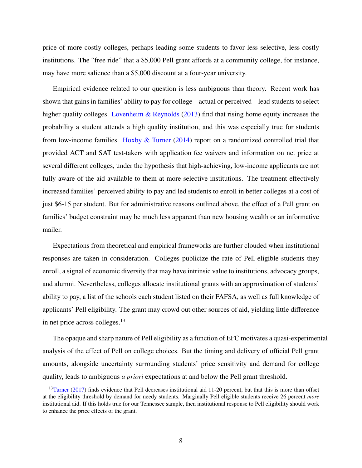price of more costly colleges, perhaps leading some students to favor less selective, less costly institutions. The "free ride" that a \$5,000 Pell grant affords at a community college, for instance, may have more salience than a \$5,000 discount at a four-year university.

Empirical evidence related to our question is less ambiguous than theory. Recent work has shown that gains in families' ability to pay for college – actual or perceived – lead students to select higher quality colleges. [Lovenheim & Reynolds](#page-27-0) ([2013\)](#page-27-0) find that rising home equity increases the probability a student attends a high quality institution, and this was especially true for students from low-income families. [Hoxby & Turner](#page-27-0) [\(2014\)](#page-27-0) report on a randomized controlled trial that provided ACT and SAT test-takers with application fee waivers and information on net price at several different colleges, under the hypothesis that high-achieving, low-income applicants are not fully aware of the aid available to them at more selective institutions. The treatment effectively increased families' perceived ability to pay and led students to enroll in better colleges at a cost of just \$6-15 per student. But for administrative reasons outlined above, the effect of a Pell grant on families' budget constraint may be much less apparent than new housing wealth or an informative mailer.

Expectations from theoretical and empirical frameworks are further clouded when institutional responses are taken in consideration. Colleges publicize the rate of Pell-eligible students they enroll, a signal of economic diversity that may have intrinsic value to institutions, advocacy groups, and alumni. Nevertheless, colleges allocate institutional grants with an approximation of students' ability to pay, a list of the schools each student listed on their FAFSA, as well as full knowledge of applicants' Pell eligibility. The grant may crowd out other sources of aid, yielding little difference in net price across colleges.<sup>13</sup>

The opaque and sharp nature of Pell eligibility as a function of EFC motivates a quasi-experimental analysis of the effect of Pell on college choices. But the timing and delivery of official Pell grant amounts, alongside uncertainty surrounding students' price sensitivity and demand for college quality, leads to ambiguous *a priori* expectations at and below the Pell grant threshold.

 $13$ [Turner](#page-28-0) ([2017\)](#page-28-0) finds evidence that Pell decreases institutional aid 11-20 percent, but that this is more than offset at the eligibility threshold by demand for needy students. Marginally Pell eligible students receive 26 percent *more* institutional aid. If this holds true for our Tennessee sample, then institutional response to Pell eligibility should work to enhance the price effects of the grant.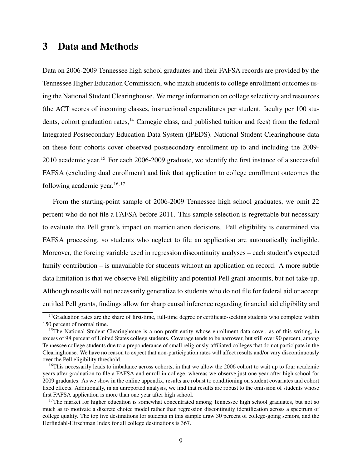# <span id="page-8-0"></span>3 Data and Methods

Data on 2006-2009 Tennessee high school graduates and their FAFSA records are provided by the Tennessee Higher Education Commission, who match students to college enrollment outcomes using the National Student Clearinghouse. We merge information on college selectivity and resources (the ACT scores of incoming classes, instructional expenditures per student, faculty per 100 students, cohort graduation rates,<sup>14</sup> Carnegie class, and published tuition and fees) from the federal Integrated Postsecondary Education Data System (IPEDS). National Student Clearinghouse data on these four cohorts cover observed postsecondary enrollment up to and including the 2009- 2010 academic year.<sup>15</sup> For each 2006-2009 graduate, we identify the first instance of a successful FAFSA (excluding dual enrollment) and link that application to college enrollment outcomes the following academic year.<sup>16</sup>*,*<sup>17</sup>

From the starting-point sample of 2006-2009 Tennessee high school graduates, we omit 22 percent who do not file a FAFSA before 2011. This sample selection is regrettable but necessary to evaluate the Pell grant's impact on matriculation decisions. Pell eligibility is determined via FAFSA processing, so students who neglect to file an application are automatically ineligible. Moreover, the forcing variable used in regression discontinuity analyses – each student's expected family contribution – is unavailable for students without an application on record. A more subtle data limitation is that we observe Pell eligibility and potential Pell grant amounts, but not take-up. Although results will not necessarily generalize to students who do not file for federal aid or accept entitled Pell grants, findings allow for sharp causal inference regarding financial aid eligibility and

<sup>&</sup>lt;sup>14</sup>Graduation rates are the share of first-time, full-time degree or certificate-seeking students who complete within 150 percent of normal time.

<sup>&</sup>lt;sup>15</sup>The National Student Clearinghouse is a non-profit entity whose enrollment data cover, as of this writing, in excess of 98 percent of United States college students. Coverage tends to be narrower, but still over 90 percent, among Tennessee college students due to a preponderance of small religiously-affiliated colleges that do not participate in the Clearinghouse. We have no reason to expect that non-participation rates will affect results and/or vary discontinuously over the Pell eligibility threshold.

<sup>&</sup>lt;sup>16</sup>This necessarily leads to imbalance across cohorts, in that we allow the 2006 cohort to wait up to four academic years after graduation to file a FAFSA and enroll in college, whereas we observe just one year after high school for 2009 graduates. As we show in the online appendix, results are robust to conditioning on student covariates and cohort fixed effects. Additionally, in an unreported analysis, we find that results are robust to the omission of students whose first FAFSA application is more than one year after high school.

<sup>&</sup>lt;sup>17</sup>The market for higher education is somewhat concentrated among Tennessee high school graduates, but not so much as to motivate a discrete choice model rather than regression discontinuity identification across a spectrum of college quality. The top five destinations for students in this sample draw 30 percent of college-going seniors, and the Herfindahl-Hirschman Index for all college destinations is 367.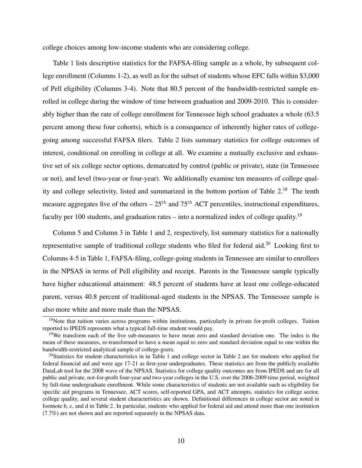college choices among low-income students who are considering college.

Table [1](#page-29-0) lists descriptive statistics for the FAFSA-filing sample as a whole, by subsequent college enrollment (Columns 1-2), as well as for the subset of students whose EFC falls within \$3,000 of Pell eligibility (Columns 3-4). Note that 80.5 percent of the bandwidth-restricted sample enrolled in college during the window of time between graduation and 2009-2010. This is considerably higher than the rate of college enrollment for Tennessee high school graduates a whole (63.5 percent among these four cohorts), which is a consequence of inherently higher rates of collegegoing among successful FAFSA filers. Table [2](#page-30-0) lists summary statistics for college outcomes of interest, conditional on enrolling in college at all. We examine a mutually exclusive and exhaustive set of six college sector options, demarcated by control (public or private), state (in Tennessee or not), and level (two-year or four-year). We additionally examine ten measures of college qual-ity and college selectivity, listed and summarized in the bottom portion of Table [2](#page-30-0).<sup>18</sup> The tenth measure aggregates five of the others  $-25^{th}$  and  $75^{th}$  ACT percentiles, instructional expenditures, faculty per 100 students, and graduation rates – into a normalized index of college quality.<sup>19</sup>

Column 5 and Column 3 in Table [1](#page-29-0) and [2](#page-30-0), respectively, list summary statistics for a nationally representative sample of traditional college students who filed for federal aid.<sup>20</sup> Looking first to Columns 4-5 in Table [1,](#page-29-0) FAFSA-filing, college-going students in Tennessee are similar to enrollees in the NPSAS in terms of Pell eligibility and receipt. Parents in the Tennessee sample typically have higher educational attainment: 48.5 percent of students have at least one college-educated parent, versus 40.8 percent of traditional-aged students in the NPSAS. The Tennessee sample is also more white and more male than the NPSAS.

<sup>&</sup>lt;sup>18</sup>Note that tuition varies across programs within institutions, particularly in private for-profit colleges. Tuition reported to IPEDS represents what a typical full-time student would pay.

<sup>&</sup>lt;sup>19</sup>We transform each of the five sub-measures to have mean zero and standard deviation one. The index is the mean of these measures, re-transformed to have a mean equal to zero and standard deviation equal to one within the bandwidth-restricted analytical sample of college-goers.

<sup>&</sup>lt;sup>20</sup>Statistics for student characteristics in in Table [1](#page-29-0) and college sector in Table [2](#page-30-0) are for students who applied for federal financial aid and were age 17-21 as first-year undergraduates. These statistics are from the publicly available DataLab tool for the 2008 wave of the NPSAS. Statistics for college quality outcomes are from IPEDS and are for all public and private, not-for-profit four-year and two-year colleges in the U.S. over the 2006-2009 time period, weighted by full-time undergraduate enrollment. While some characteristics of students are not available such as eligibility for specific aid programs in Tennessee, ACT scores, self-reported GPA, and ACT attempts, statistics for college sector, college quality, and several student characteristics are shown. Definitional differences in college sector are noted in footnote b, c, and d in Table [2](#page-30-0). In particular, students who applied for federal aid and attend more than one institution (7.7%) are not shown and are reported separately in the NPSAS data.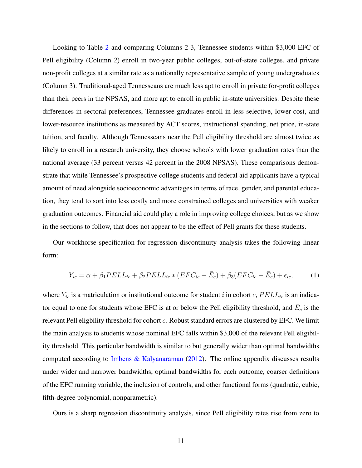<span id="page-10-0"></span>Looking to Table [2](#page-30-0) and comparing Columns 2-3, Tennessee students within \$3,000 EFC of Pell eligibility (Column 2) enroll in two-year public colleges, out-of-state colleges, and private non-profit colleges at a similar rate as a nationally representative sample of young undergraduates (Column 3). Traditional-aged Tennesseans are much less apt to enroll in private for-profit colleges than their peers in the NPSAS, and more apt to enroll in public in-state universities. Despite these differences in sectoral preferences, Tennessee graduates enroll in less selective, lower-cost, and lower-resource institutions as measured by ACT scores, instructional spending, net price, in-state tuition, and faculty. Although Tennesseans near the Pell eligibility threshold are almost twice as likely to enroll in a research university, they choose schools with lower graduation rates than the national average (33 percent versus 42 percent in the 2008 NPSAS). These comparisons demonstrate that while Tennessee's prospective college students and federal aid applicants have a typical amount of need alongside socioeconomic advantages in terms of race, gender, and parental education, they tend to sort into less costly and more constrained colleges and universities with weaker graduation outcomes. Financial aid could play a role in improving college choices, but as we show in the sections to follow, that does not appear to be the effect of Pell grants for these students.

Our workhorse specification for regression discontinuity analysis takes the following linear form:

$$
Y_{ic} = \alpha + \beta_1 PELL_{ic} + \beta_2 PELL_{ic} * (EFC_{ic} - \bar{E}_c) + \beta_3 (EFC_{ic} - \bar{E}_c) + \epsilon_{ic},\tag{1}
$$

where  $Y_i$  is a matriculation or institutional outcome for student *i* in cohort *c*,  $PELL$ <sub>*ic*</sub> is an indicator equal to one for students whose EFC is at or below the Pell eligibility threshold, and  $\bar{E}_c$  is the relevant Pell eligbility threshold for cohort *c*. Robust standard errors are clustered by EFC. We limit the main analysis to students whose nominal EFC falls within \$3,000 of the relevant Pell eligibility threshold. This particular bandwidth is similar to but generally wider than optimal bandwidths computed according to [Imbens & Kalyanaraman](#page-27-0) [\(2012\)](#page-27-0). The online appendix discusses results under wider and narrower bandwidths, optimal bandwidths for each outcome, coarser definitions of the EFC running variable, the inclusion of controls, and other functional forms (quadratic, cubic, fifth-degree polynomial, nonparametric).

Ours is a sharp regression discontinuity analysis, since Pell eligibility rates rise from zero to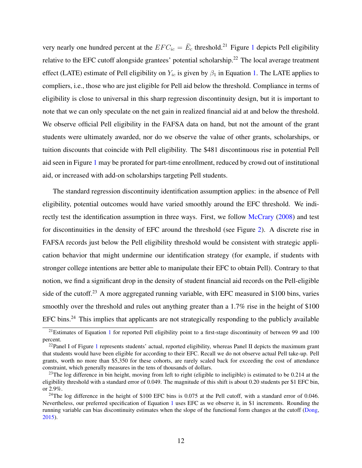very nearly one hundred percent at the  $EFC_{ic} = \bar{E}_c$  threshold.<sup>2[1](#page-31-0)</sup> Figure 1 depicts Pell eligibility relative to the EFC cutoff alongside grantees' potential scholarship.<sup>22</sup> The local average treatment effect (LATE) estimate of Pell eligibility on  $Y_{ic}$  is given by  $\beta_1$  in Equation [1.](#page-10-0) The LATE applies to compliers, i.e., those who are just eligible for Pell aid below the threshold. Compliance in terms of eligibility is close to universal in this sharp regression discontinuity design, but it is important to note that we can only speculate on the net gain in realized financial aid at and below the threshold. We observe official Pell eligibility in the FAFSA data on hand, but not the amount of the grant students were ultimately awarded, nor do we observe the value of other grants, scholarships, or tuition discounts that coincide with Pell eligibility. The \$481 discontinuous rise in potential Pell aid seen in Figure [1](#page-31-0) may be prorated for part-time enrollment, reduced by crowd out of institutional aid, or increased with add-on scholarships targeting Pell students.

The standard regression discontinuity identification assumption applies: in the absence of Pell eligibility, potential outcomes would have varied smoothly around the EFC threshold. We indirectly test the identification assumption in three ways. First, we follow [McCrary](#page-28-0) [\(2008\)](#page-28-0) and test for discontinuities in the density of EFC around the threshold (see Figure [2](#page-32-0)). A discrete rise in FAFSA records just below the Pell eligibility threshold would be consistent with strategic application behavior that might undermine our identification strategy (for example, if students with stronger college intentions are better able to manipulate their EFC to obtain Pell). Contrary to that notion, we find a significant drop in the density of student financial aid records on the Pell-eligible side of the cutoff.<sup>23</sup> A more aggregated running variable, with EFC measured in \$100 bins, varies smoothly over the threshold and rules out anything greater than a 1.7% rise in the height of \$100 EFC bins.<sup>24</sup> This implies that applicants are not strategically responding to the publicly available

 $^{21}$  $^{21}$  $^{21}$ Estimates of Equation 1 for reported Pell eligibility point to a first-stage discontinuity of between 99 and 100 percent.

<sup>&</sup>lt;sup>22</sup>Panel I of Figure [1](#page-31-0) represents students' actual, reported eligibility, whereas Panel II depicts the maximum grant that students would have been eligible for according to their EFC. Recall we do not observe actual Pell take-up. Pell grants, worth no more than \$5,350 for these cohorts, are rarely scaled back for exceeding the cost of attendance constraint, which generally measures in the tens of thousands of dollars.

<sup>&</sup>lt;sup>23</sup>The log difference in bin height, moving from left to right (eligible to ineligible) is estimated to be  $0.214$  at the eligibility threshold with a standard error of 0.049. The magnitude of this shift is about 0.20 students per \$1 EFC bin, or 2.9%.

<sup>&</sup>lt;sup>24</sup>The log difference in the height of \$100 EFC bins is 0.075 at the Pell cutoff, with a standard error of 0.046. Nevertheless, our preferred specification of Equation [1](#page-10-0) uses EFC as we observe it, in \$1 increments. Rounding the running variable can bias discontinuity estimates when the slope of the functional form changes at the cutoff [\(Dong,](#page-26-0) [2015\)](#page-26-0).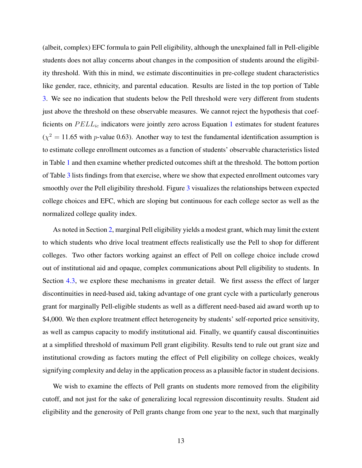(albeit, complex) EFC formula to gain Pell eligibility, although the unexplained fall in Pell-eligible students does not allay concerns about changes in the composition of students around the eligibility threshold. With this in mind, we estimate discontinuities in pre-college student characteristics like gender, race, ethnicity, and parental education. Results are listed in the top portion of Table [3.](#page-33-0) We see no indication that students below the Pell threshold were very different from students just above the threshold on these observable measures. We cannot reject the hypothesis that coefficients on  $PELL_{ic}$  indicators were jointly zero across Equation [1](#page-10-0) estimates for student features  $(\chi^2 = 11.65$  with *p*-value 0.63). Another way to test the fundamental identification assumption is to estimate college enrollment outcomes as a function of students' observable characteristics listed in Table [1](#page-29-0) and then examine whether predicted outcomes shift at the threshold. The bottom portion of Table [3](#page-33-0) lists findings from that exercise, where we show that expected enrollment outcomes vary smoothly over the Pell eligibility threshold. Figure [3](#page-34-0) visualizes the relationships between expected college choices and EFC, which are sloping but continuous for each college sector as well as the normalized college quality index.

As noted in Section [2,](#page-3-0) marginal Pell eligibility yields a modest grant, which may limit the extent to which students who drive local treatment effects realistically use the Pell to shop for different colleges. Two other factors working against an effect of Pell on college choice include crowd out of institutional aid and opaque, complex communications about Pell eligibility to students. In Section [4.3](#page-18-0), we explore these mechanisms in greater detail. We first assess the effect of larger discontinuities in need-based aid, taking advantage of one grant cycle with a particularly generous grant for marginally Pell-eligible students as well as a different need-based aid award worth up to \$4,000. We then explore treatment effect heterogeneity by students' self-reported price sensitivity, as well as campus capacity to modify institutional aid. Finally, we quantify causal discontinuities at a simplified threshold of maximum Pell grant eligibility. Results tend to rule out grant size and institutional crowding as factors muting the effect of Pell eligibility on college choices, weakly signifying complexity and delay in the application process as a plausible factor in student decisions.

We wish to examine the effects of Pell grants on students more removed from the eligibility cutoff, and not just for the sake of generalizing local regression discontinuity results. Student aid eligibility and the generosity of Pell grants change from one year to the next, such that marginally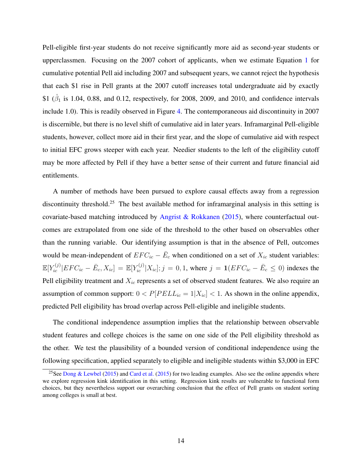Pell-eligible first-year students do not receive significantly more aid as second-year students or upperclassmen. Focusing on the 2007 cohort of applicants, when we estimate Equation [1](#page-10-0) for cumulative potential Pell aid including 2007 and subsequent years, we cannot reject the hypothesis that each \$1 rise in Pell grants at the 2007 cutoff increases total undergraduate aid by exactly \$1 ( $\hat{\beta}_1$  is 1.04, 0.88, and 0.12, respectively, for 2008, 2009, and 2010, and confidence intervals include 1.0). This is readily observed in Figure [4](#page-35-0). The contemporaneous aid discontinuity in 2007 is discernible, but there is no level shift of cumulative aid in later years. Inframarginal Pell-eligible students, however, collect more aid in their first year, and the slope of cumulative aid with respect to initial EFC grows steeper with each year. Needier students to the left of the eligibility cutoff may be more affected by Pell if they have a better sense of their current and future financial aid entitlements.

A number of methods have been pursued to explore causal effects away from a regression discontinuity threshold.<sup>25</sup> The best available method for inframarginal analysis in this setting is covariate-based matching introduced by [Angrist & Rokkanen](#page-25-0) [\(2015\)](#page-25-0), where counterfactual outcomes are extrapolated from one side of the threshold to the other based on observables other than the running variable. Our identifying assumption is that in the absence of Pell, outcomes would be mean-independent of  $EFC_{ic} - \bar{E}_c$  when conditioned on a set of  $X_{ic}$  student variables:  $\mathbb{E}[Y_{ic}^{(j)}|EFC_{ic} - \bar{E}_{c}, X_{ic}] = \mathbb{E}[Y_{ic}^{(j)}|X_{ic}]; j = 0, 1$ , where  $j = 1(EFC_{ic} - \bar{E}_{c} \le 0)$  indexes the Pell eligibility treatment and *Xic* represents a set of observed student features. We also require an assumption of common support:  $0 < P[PELL_{ic} = 1 | X_{ic}] < 1$ . As shown in the online appendix, predicted Pell eligibility has broad overlap across Pell-eligible and ineligible students.

The conditional independence assumption implies that the relationship between observable student features and college choices is the same on one side of the Pell eligibility threshold as the other. We test the plausibility of a bounded version of conditional independence using the following specification, applied separately to eligible and ineligible students within \$3,000 in EFC

<sup>&</sup>lt;sup>25</sup>See [Dong & Lewbel](#page-26-0) ([2015\)](#page-26-0) and [Card et al.](#page-25-0) [\(2015](#page-25-0)) for two leading examples. Also see the online appendix where we explore regression kink identification in this setting. Regression kink results are vulnerable to functional form choices, but they nevertheless support our overarching conclusion that the effect of Pell grants on student sorting among colleges is small at best.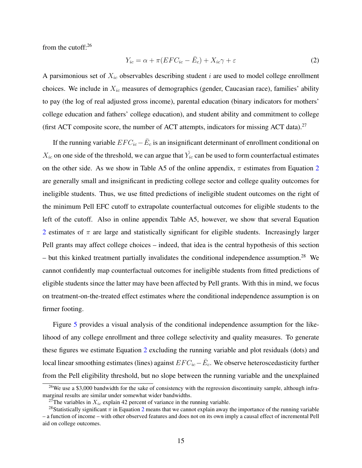<span id="page-14-0"></span>from the cutoff:<sup>26</sup>

$$
Y_{ic} = \alpha + \pi (EFC_{ic} - \bar{E}_c) + X_{ic}\gamma + \varepsilon
$$
\n(2)

A parsimonious set of *Xic* observables describing student *i* are used to model college enrollment choices. We include in *Xic* measures of demographics (gender, Caucasian race), families' ability to pay (the log of real adjusted gross income), parental education (binary indicators for mothers' college education and fathers' college education), and student ability and commitment to college (first ACT composite score, the number of ACT attempts, indicators for missing ACT data).<sup>27</sup>

If the running variable  $EFC_{ic} - \bar{E}_c$  is an insignificant determinant of enrollment conditional on  $X_{ic}$  on one side of the threshold, we can argue that  $\hat{Y_{ic}}$  can be used to form counterfactual estimates on the other side. As we show in Table A5 of the online appendix,  $\pi$  estimates from Equation 2 are generally small and insignificant in predicting college sector and college quality outcomes for ineligible students. Thus, we use fitted predictions of ineligible student outcomes on the right of the minimum Pell EFC cutoff to extrapolate counterfactual outcomes for eligible students to the left of the cutoff. Also in online appendix Table A5, however, we show that several Equation 2 estimates of  $\pi$  are large and statistically significant for eligible students. Increasingly larger Pell grants may affect college choices – indeed, that idea is the central hypothesis of this section – but this kinked treatment partially invalidates the conditional independence assumption.<sup>28</sup> We cannot confidently map counterfactual outcomes for ineligible students from fitted predictions of eligible students since the latter may have been affected by Pell grants. With this in mind, we focus on treatment-on-the-treated effect estimates where the conditional independence assumption is on firmer footing.

Figure [5](#page-36-0) provides a visual analysis of the conditional independence assumption for the likelihood of any college enrollment and three college selectivity and quality measures. To generate these figures we estimate Equation 2 excluding the running variable and plot residuals (dots) and local linear smoothing estimates (lines) against  $EFC_{ic}−E_c$ . We observe heteroscedasticity further from the Pell eligibility threshold, but no slope between the running variable and the unexplained

<sup>&</sup>lt;sup>26</sup>We use a \$3,000 bandwidth for the sake of consistency with the regression discontinuity sample, although inframarginal results are similar under somewhat wider bandwidths.

<sup>&</sup>lt;sup>27</sup>The variables in  $X_{ic}$  explain 42 percent of variance in the running variable.

<sup>&</sup>lt;sup>28</sup>Statistically significant  $\pi$  in Equation 2 means that we cannot explain away the importance of the running variable – a function of income – with other observed features and does not on its own imply a causal effect of incremental Pell aid on college outcomes.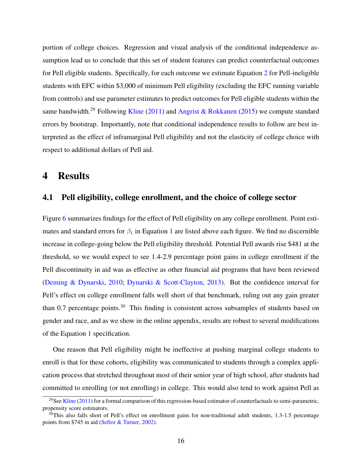portion of college choices. Regression and visual analysis of the conditional independence assumption lead us to conclude that this set of student features can predict counterfactual outcomes for Pell eligible students. Specifically, for each outcome we estimate Equation [2](#page-14-0) for Pell-ineligible students with EFC within \$3,000 of minimum Pell eligibility (excluding the EFC running variable from controls) and use parameter estimates to predict outcomes for Pell eligible students within the same bandwidth.<sup>29</sup> Following [Kline](#page-27-0) [\(2011](#page-27-0)) and [Angrist & Rokkanen](#page-25-0) ([2015\)](#page-25-0) we compute standard errors by bootstrap. Importantly, note that conditional independence results to follow are best interpreted as the effect of inframarginal Pell eligibility and not the elasticity of college choice with respect to additional dollars of Pell aid.

### 4 Results

#### 4.1 Pell eligibility, college enrollment, and the choice of college sector

Figure [6](#page-37-0) summarizes findings for the effect of Pell eligibility on any college enrollment. Point estimates and standard errors for  $\beta_1$  $\beta_1$  in Equation 1 are listed above each figure. We find no discernible increase in college-going below the Pell eligibility threshold. Potential Pell awards rise \$481 at the threshold, so we would expect to see 1.4-2.9 percentage point gains in college enrollment if the Pell discontinuity in aid was as effective as other financial aid programs that have been reviewed ([Deming & Dynarski](#page-26-0), [2010](#page-26-0); [Dynarski & Scott-Clayton](#page-26-0), [2013](#page-26-0)). But the confidence interval for Pell's effect on college enrollment falls well short of that benchmark, ruling out any gain greater than 0.7 percentage points.<sup>30</sup> This finding is consistent across subsamples of students based on gender and race, and as we show in the online appendix, results are robust to several modifications of the Equation [1](#page-10-0) specification.

One reason that Pell eligibility might be ineffective at pushing marginal college students to enroll is that for these cohorts, eligibility was communicated to students through a complex application process that stretched throughout most of their senior year of high school, after students had committed to enrolling (or not enrolling) in college. This would also tend to work against Pell as

<sup>&</sup>lt;sup>29</sup>See [Kline](#page-27-0) ([2011\)](#page-27-0) for a formal comparison of this regression-based estimator of counterfactuals to semi-parametric, propensity score estimators.

 $30$ This also falls short of Pell's effect on enrollment gains for non-traditional adult students, 1.3-1.5 percentage points from \$745 in aid [\(Seftor & Turner](#page-28-0), [2002\)](#page-28-0).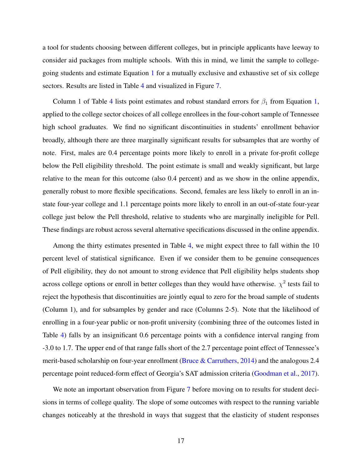a tool for students choosing between different colleges, but in principle applicants have leeway to consider aid packages from multiple schools. With this in mind, we limit the sample to collegegoing students and estimate Equation [1](#page-10-0) for a mutually exclusive and exhaustive set of six college sectors. Results are listed in Table [4](#page-38-0) and visualized in Figure [7](#page-39-0).

Column 1 of Table [4](#page-38-0) lists point estimates and robust standard errors for  $\beta_1$  $\beta_1$  from Equation 1, applied to the college sector choices of all college enrollees in the four-cohort sample of Tennessee high school graduates. We find no significant discontinuities in students' enrollment behavior broadly, although there are three marginally significant results for subsamples that are worthy of note. First, males are 0.4 percentage points more likely to enroll in a private for-profit college below the Pell eligibility threshold. The point estimate is small and weakly significant, but large relative to the mean for this outcome (also 0.4 percent) and as we show in the online appendix, generally robust to more flexible specifications. Second, females are less likely to enroll in an instate four-year college and 1.1 percentage points more likely to enroll in an out-of-state four-year college just below the Pell threshold, relative to students who are marginally ineligible for Pell. These findings are robust across several alternative specifications discussed in the online appendix.

Among the thirty estimates presented in Table [4](#page-38-0), we might expect three to fall within the 10 percent level of statistical significance. Even if we consider them to be genuine consequences of Pell eligibility, they do not amount to strong evidence that Pell eligibility helps students shop across college options or enroll in better colleges than they would have otherwise.  $\chi^2$  tests fail to reject the hypothesis that discontinuities are jointly equal to zero for the broad sample of students (Column 1), and for subsamples by gender and race (Columns 2-5). Note that the likelihood of enrolling in a four-year public or non-profit university (combining three of the outcomes listed in Table [4](#page-38-0)) falls by an insignificant 0.6 percentage points with a confidence interval ranging from -3.0 to 1.7. The upper end of that range falls short of the 2.7 percentage point effect of Tennessee's merit-based scholarship on four-year enrollment ([Bruce & Carruthers](#page-25-0), [2014\)](#page-25-0) and the analogous 2.4 percentage point reduced-form effect of Georgia's SAT admission criteria [\(Goodman et al.](#page-26-0), [2017](#page-26-0)).

We note an important observation from Figure [7](#page-39-0) before moving on to results for student decisions in terms of college quality. The slope of some outcomes with respect to the running variable changes noticeably at the threshold in ways that suggest that the elasticity of student responses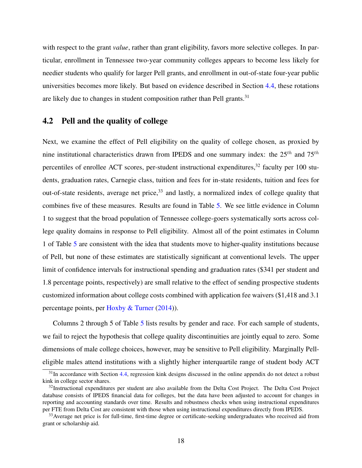with respect to the grant *value*, rather than grant eligibility, favors more selective colleges. In particular, enrollment in Tennessee two-year community colleges appears to become less likely for needier students who qualify for larger Pell grants, and enrollment in out-of-state four-year public universities becomes more likely. But based on evidence described in Section [4.4](#page-21-0), these rotations are likely due to changes in student composition rather than Pell grants.<sup>31</sup>

### 4.2 Pell and the quality of college

Next, we examine the effect of Pell eligibility on the quality of college chosen, as proxied by nine institutional characteristics drawn from IPEDS and one summary index: the 25*th* and 75*th* percentiles of enrollee ACT scores, per-student instructional expenditures,<sup>32</sup> faculty per 100 students, graduation rates, Carnegie class, tuition and fees for in-state residents, tuition and fees for out-of-state residents, average net price,<sup>33</sup> and lastly, a normalized index of college quality that combines five of these measures. Results are found in Table [5](#page-40-0). We see little evidence in Column 1 to suggest that the broad population of Tennessee college-goers systematically sorts across college quality domains in response to Pell eligibility. Almost all of the point estimates in Column 1 of Table [5](#page-40-0) are consistent with the idea that students move to higher-quality institutions because of Pell, but none of these estimates are statistically significant at conventional levels. The upper limit of confidence intervals for instructional spending and graduation rates (\$341 per student and 1.8 percentage points, respectively) are small relative to the effect of sending prospective students customized information about college costs combined with application fee waivers (\$1,418 and 3.1 percentage points, per [Hoxby & Turner](#page-27-0) [\(2014\)](#page-27-0)).

Columns 2 through 5 of Table [5](#page-40-0) lists results by gender and race. For each sample of students, we fail to reject the hypothesis that college quality discontinuities are jointly equal to zero. Some dimensions of male college choices, however, may be sensitive to Pell eligibility. Marginally Pelleligible males attend institutions with a slightly higher interquartile range of student body ACT

 $31$ In accordance with Section [4.4](#page-21-0), regression kink designs discussed in the online appendix do not detect a robust kink in college sector shares.

 $32$ Instructional expenditures per student are also available from the Delta Cost Project. The Delta Cost Project database consists of IPEDS financial data for colleges, but the data have been adjusted to account for changes in reporting and accounting standards over time. Results and robustness checks when using instructional expenditures per FTE from Delta Cost are consistent with those when using instructional expenditures directly from IPEDS.

<sup>&</sup>lt;sup>33</sup> Average net price is for full-time, first-time degree or certificate-seeking undergraduates who received aid from grant or scholarship aid.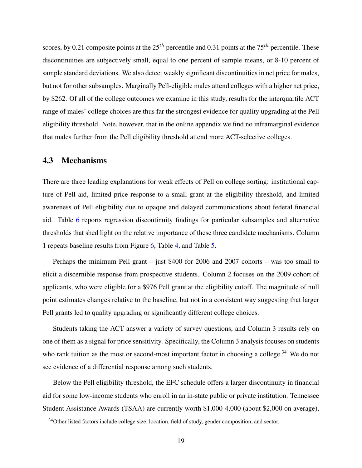<span id="page-18-0"></span>scores, by 0.21 composite points at the 25*th* percentile and 0.31 points at the 75*th* percentile. These discontinuities are subjectively small, equal to one percent of sample means, or 8-10 percent of sample standard deviations. We also detect weakly significant discontinuities in net price for males, but not for other subsamples. Marginally Pell-eligible males attend colleges with a higher net price, by \$262. Of all of the college outcomes we examine in this study, results for the interquartile ACT range of males' college choices are thus far the strongest evidence for quality upgrading at the Pell eligibility threshold. Note, however, that in the online appendix we find no inframarginal evidence that males further from the Pell eligibility threshold attend more ACT-selective colleges.

#### 4.3 Mechanisms

There are three leading explanations for weak effects of Pell on college sorting: institutional capture of Pell aid, limited price response to a small grant at the eligibility threshold, and limited awareness of Pell eligibility due to opaque and delayed communications about federal financial aid. Table [6](#page-41-0) reports regression discontinuity findings for particular subsamples and alternative thresholds that shed light on the relative importance of these three candidate mechanisms. Column 1 repeats baseline results from Figure [6,](#page-37-0) Table [4,](#page-38-0) and Table [5](#page-40-0).

Perhaps the minimum Pell grant – just \$400 for 2006 and 2007 cohorts – was too small to elicit a discernible response from prospective students. Column 2 focuses on the 2009 cohort of applicants, who were eligible for a \$976 Pell grant at the eligibility cutoff. The magnitude of null point estimates changes relative to the baseline, but not in a consistent way suggesting that larger Pell grants led to quality upgrading or significantly different college choices.

Students taking the ACT answer a variety of survey questions, and Column 3 results rely on one of them as a signal for price sensitivity. Specifically, the Column 3 analysis focuses on students who rank tuition as the most or second-most important factor in choosing a college.<sup>34</sup> We do not see evidence of a differential response among such students.

Below the Pell eligibility threshold, the EFC schedule offers a larger discontinuity in financial aid for some low-income students who enroll in an in-state public or private institution. Tennessee Student Assistance Awards (TSAA) are currently worth \$1,000-4,000 (about \$2,000 on average),

<sup>&</sup>lt;sup>34</sup>Other listed factors include college size, location, field of study, gender composition, and sector.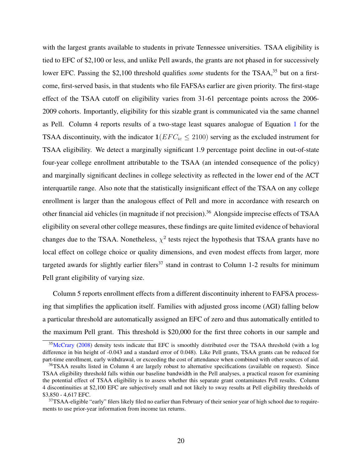with the largest grants available to students in private Tennessee universities. TSAA eligibility is tied to EFC of \$2,100 or less, and unlike Pell awards, the grants are not phased in for successively lower EFC. Passing the \$2,100 threshold qualifies *some* students for the TSAA,<sup>35</sup> but on a firstcome, first-served basis, in that students who file FAFSAs earlier are given priority. The first-stage effect of the TSAA cutoff on eligibility varies from 31-61 percentage points across the 2006- 2009 cohorts. Importantly, eligibility for this sizable grant is communicated via the same channel as Pell. Column 4 reports results of a two-stage least squares analogue of Equation [1](#page-10-0) for the TSAA discontinuity, with the indicator  $1(EF C_{ic} \leq 2100)$  serving as the excluded instrument for TSAA eligibility. We detect a marginally significant 1.9 percentage point decline in out-of-state four-year college enrollment attributable to the TSAA (an intended consequence of the policy) and marginally significant declines in college selectivity as reflected in the lower end of the ACT interquartile range. Also note that the statistically insignificant effect of the TSAA on any college enrollment is larger than the analogous effect of Pell and more in accordance with research on other financial aid vehicles (in magnitude if not precision).<sup>36</sup> Alongside imprecise effects of TSAA eligibility on several other college measures, these findings are quite limited evidence of behavioral changes due to the TSAA. Nonetheless,  $\chi^2$  tests reject the hypothesis that TSAA grants have no local effect on college choice or quality dimensions, and even modest effects from larger, more targeted awards for slightly earlier filers<sup>37</sup> stand in contrast to Column 1-2 results for minimum Pell grant eligibility of varying size.

Column 5 reports enrollment effects from a different discontinuity inherent to FAFSA processing that simplifies the application itself. Families with adjusted gross income (AGI) falling below a particular threshold are automatically assigned an EFC of zero and thus automatically entitled to the maximum Pell grant. This threshold is \$20,000 for the first three cohorts in our sample and

<sup>&</sup>lt;sup>35</sup>[McCrary](#page-28-0) ([2008\)](#page-28-0) density tests indicate that EFC is smoothly distributed over the TSAA threshold (with a log difference in bin height of -0.043 and a standard error of 0.048). Like Pell grants, TSAA grants can be reduced for part-time enrollment, early withdrawal, or exceeding the cost of attendance when combined with other sources of aid.

<sup>&</sup>lt;sup>36</sup>TSAA results listed in Column 4 are largely robust to alternative specifications (available on request). Since TSAA eligibility threshold falls within our baseline bandwidth in the Pell analyses, a practical reason for examining the potential effect of TSAA eligibility is to assess whether this separate grant contaminates Pell results. Column 4 discontinuities at \$2,100 EFC are subjectively small and not likely to sway results at Pell eligibility thresholds of \$3,850 - 4,617 EFC.

<sup>&</sup>lt;sup>37</sup>TSAA-eligible "early" filers likely filed no earlier than February of their senior year of high school due to requirements to use prior-year information from income tax returns.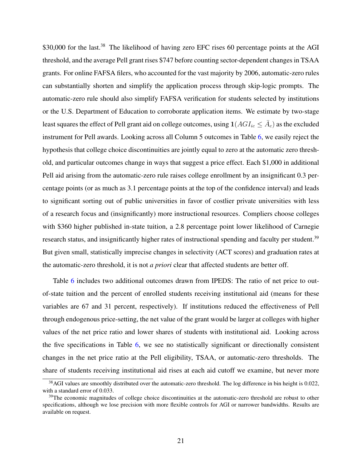\$30,000 for the last.<sup>38</sup> The likelihood of having zero EFC rises 60 percentage points at the AGI threshold, and the average Pell grant rises \$747 before counting sector-dependent changes in TSAA grants. For online FAFSA filers, who accounted for the vast majority by 2006, automatic-zero rules can substantially shorten and simplify the application process through skip-logic prompts. The automatic-zero rule should also simplify FAFSA verification for students selected by institutions or the U.S. Department of Education to corroborate application items. We estimate by two-stage least squares the effect of Pell grant aid on college outcomes, using  $1(AGI_{ic} \leq \bar{A}_c)$  as the excluded instrument for Pell awards. Looking across all Column 5 outcomes in Table [6](#page-41-0), we easily reject the hypothesis that college choice discontinuities are jointly equal to zero at the automatic zero threshold, and particular outcomes change in ways that suggest a price effect. Each \$1,000 in additional Pell aid arising from the automatic-zero rule raises college enrollment by an insignificant 0.3 percentage points (or as much as 3.1 percentage points at the top of the confidence interval) and leads to significant sorting out of public universities in favor of costlier private universities with less of a research focus and (insignificantly) more instructional resources. Compliers choose colleges with \$360 higher published in-state tuition, a 2.8 percentage point lower likelihood of Carnegie research status, and insignificantly higher rates of instructional spending and faculty per student.<sup>39</sup> But given small, statistically imprecise changes in selectivity (ACT scores) and graduation rates at the automatic-zero threshold, it is not *a priori* clear that affected students are better off.

Table [6](#page-41-0) includes two additional outcomes drawn from IPEDS: The ratio of net price to outof-state tuition and the percent of enrolled students receiving institutional aid (means for these variables are 67 and 31 percent, respectively). If institutions reduced the effectiveness of Pell through endogenous price-setting, the net value of the grant would be larger at colleges with higher values of the net price ratio and lower shares of students with institutional aid. Looking across the five specifications in Table [6,](#page-41-0) we see no statistically significant or directionally consistent changes in the net price ratio at the Pell eligibility, TSAA, or automatic-zero thresholds. The share of students receiving institutional aid rises at each aid cutoff we examine, but never more

<sup>&</sup>lt;sup>38</sup>AGI values are smoothly distributed over the automatic-zero threshold. The log difference in bin height is 0.022, with a standard error of 0.033.

<sup>&</sup>lt;sup>39</sup>The economic magnitudes of college choice discontinuities at the automatic-zero threshold are robust to other specifications, although we lose precision with more flexible controls for AGI or narrower bandwidths. Results are available on request.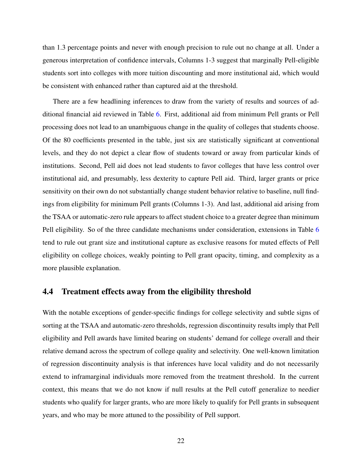<span id="page-21-0"></span>than 1.3 percentage points and never with enough precision to rule out no change at all. Under a generous interpretation of confidence intervals, Columns 1-3 suggest that marginally Pell-eligible students sort into colleges with more tuition discounting and more institutional aid, which would be consistent with enhanced rather than captured aid at the threshold.

There are a few headlining inferences to draw from the variety of results and sources of additional financial aid reviewed in Table [6](#page-41-0). First, additional aid from minimum Pell grants or Pell processing does not lead to an unambiguous change in the quality of colleges that students choose. Of the 80 coefficients presented in the table, just six are statistically significant at conventional levels, and they do not depict a clear flow of students toward or away from particular kinds of institutions. Second, Pell aid does not lead students to favor colleges that have less control over institutional aid, and presumably, less dexterity to capture Pell aid. Third, larger grants or price sensitivity on their own do not substantially change student behavior relative to baseline, null findings from eligibility for minimum Pell grants (Columns 1-3). And last, additional aid arising from the TSAA or automatic-zero rule appears to affect student choice to a greater degree than minimum Pell eligibility. So of the three candidate mechanisms under consideration, extensions in Table [6](#page-41-0) tend to rule out grant size and institutional capture as exclusive reasons for muted effects of Pell eligibility on college choices, weakly pointing to Pell grant opacity, timing, and complexity as a more plausible explanation.

### 4.4 Treatment effects away from the eligibility threshold

With the notable exceptions of gender-specific findings for college selectivity and subtle signs of sorting at the TSAA and automatic-zero thresholds, regression discontinuity results imply that Pell eligibility and Pell awards have limited bearing on students' demand for college overall and their relative demand across the spectrum of college quality and selectivity. One well-known limitation of regression discontinuity analysis is that inferences have local validity and do not necessarily extend to inframarginal individuals more removed from the treatment threshold. In the current context, this means that we do not know if null results at the Pell cutoff generalize to needier students who qualify for larger grants, who are more likely to qualify for Pell grants in subsequent years, and who may be more attuned to the possibility of Pell support.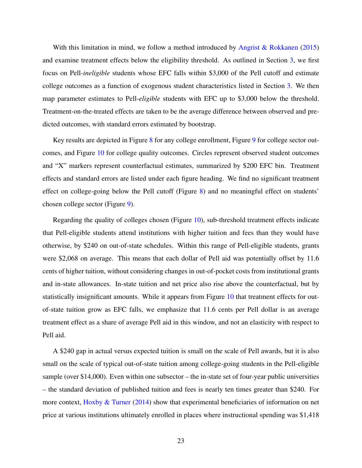With this limitation in mind, we follow a method introduced by [Angrist & Rokkanen](#page-25-0) [\(2015](#page-25-0)) and examine treatment effects below the eligibility threshold. As outlined in Section [3](#page-8-0), we first focus on Pell-*ineligible* students whose EFC falls within \$3,000 of the Pell cutoff and estimate college outcomes as a function of exogenous student characteristics listed in Section [3.](#page-8-0) We then map parameter estimates to Pell-*eligible* students with EFC up to \$3,000 below the threshold. Treatment-on-the-treated effects are taken to be the average difference between observed and predicted outcomes, with standard errors estimated by bootstrap.

Key results are depicted in Figure [8](#page-42-0) for any college enrollment, Figure [9](#page-43-0) for college sector outcomes, and Figure [10](#page-44-0) for college quality outcomes. Circles represent observed student outcomes and "X" markers represent counterfactual estimates, summarized by \$200 EFC bin. Treatment effects and standard errors are listed under each figure heading. We find no significant treatment effect on college-going below the Pell cutoff (Figure [8\)](#page-42-0) and no meaningful effect on students' chosen college sector (Figure [9](#page-43-0)).

Regarding the quality of colleges chosen (Figure [10\)](#page-44-0), sub-threshold treatment effects indicate that Pell-eligible students attend institutions with higher tuition and fees than they would have otherwise, by \$240 on out-of-state schedules. Within this range of Pell-eligible students, grants were \$2,068 on average. This means that each dollar of Pell aid was potentially offset by 11.6 cents of higher tuition, without considering changes in out-of-pocket costs from institutional grants and in-state allowances. In-state tuition and net price also rise above the counterfactual, but by statistically insignificant amounts. While it appears from Figure [10](#page-44-0) that treatment effects for outof-state tuition grow as EFC falls, we emphasize that 11.6 cents per Pell dollar is an average treatment effect as a share of average Pell aid in this window, and not an elasticity with respect to Pell aid.

A \$240 gap in actual versus expected tuition is small on the scale of Pell awards, but it is also small on the scale of typical out-of-state tuition among college-going students in the Pell-eligible sample (over \$14,000). Even within one subsector – the in-state set of four-year public universities – the standard deviation of published tuition and fees is nearly ten times greater than \$240. For more context, [Hoxby & Turner](#page-27-0) [\(2014](#page-27-0)) show that experimental beneficiaries of information on net price at various institutions ultimately enrolled in places where instructional spending was \$1,418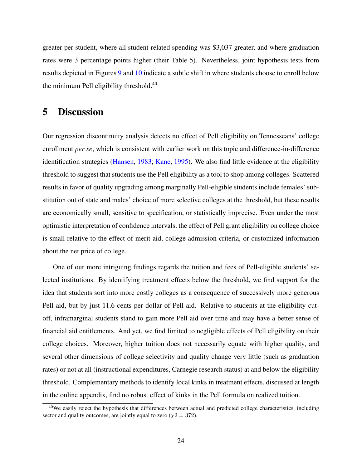greater per student, where all student-related spending was \$3,037 greater, and where graduation rates were 3 percentage points higher (their Table 5). Nevertheless, joint hypothesis tests from results depicted in Figures [9](#page-43-0) and [10](#page-44-0) indicate a subtle shift in where students choose to enroll below the minimum Pell eligibility threshold.<sup>40</sup>

### 5 Discussion

Our regression discontinuity analysis detects no effect of Pell eligibility on Tennesseans' college enrollment *per se*, which is consistent with earlier work on this topic and difference-in-difference identification strategies ([Hansen](#page-27-0), [1983;](#page-27-0) [Kane](#page-27-0), [1995](#page-27-0)). We also find little evidence at the eligibility threshold to suggest that students use the Pell eligibility as a tool to shop among colleges. Scattered results in favor of quality upgrading among marginally Pell-eligible students include females' substitution out of state and males' choice of more selective colleges at the threshold, but these results are economically small, sensitive to specification, or statistically imprecise. Even under the most optimistic interpretation of confidence intervals, the effect of Pell grant eligibility on college choice is small relative to the effect of merit aid, college admission criteria, or customized information about the net price of college.

One of our more intriguing findings regards the tuition and fees of Pell-eligible students' selected institutions. By identifying treatment effects below the threshold, we find support for the idea that students sort into more costly colleges as a consequence of successively more generous Pell aid, but by just 11.6 cents per dollar of Pell aid. Relative to students at the eligibility cutoff, inframarginal students stand to gain more Pell aid over time and may have a better sense of financial aid entitlements. And yet, we find limited to negligible effects of Pell eligibility on their college choices. Moreover, higher tuition does not necessarily equate with higher quality, and several other dimensions of college selectivity and quality change very little (such as graduation rates) or not at all (instructional expenditures, Carnegie research status) at and below the eligibility threshold. Complementary methods to identify local kinks in treatment effects, discussed at length in the online appendix, find no robust effect of kinks in the Pell formula on realized tuition.

<sup>40</sup>We easily reject the hypothesis that differences between actual and predicted college characteristics, including sector and quality outcomes, are jointly equal to zero  $(\chi 2 = 372)$ .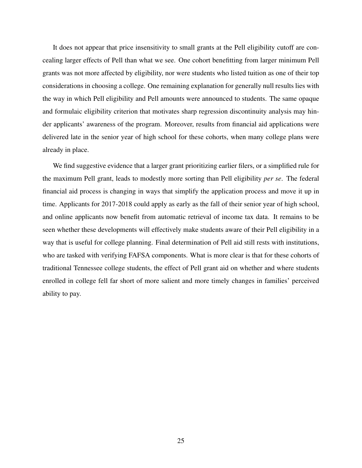It does not appear that price insensitivity to small grants at the Pell eligibility cutoff are concealing larger effects of Pell than what we see. One cohort benefitting from larger minimum Pell grants was not more affected by eligibility, nor were students who listed tuition as one of their top considerations in choosing a college. One remaining explanation for generally null results lies with the way in which Pell eligibility and Pell amounts were announced to students. The same opaque and formulaic eligibility criterion that motivates sharp regression discontinuity analysis may hinder applicants' awareness of the program. Moreover, results from financial aid applications were delivered late in the senior year of high school for these cohorts, when many college plans were already in place.

We find suggestive evidence that a larger grant prioritizing earlier filers, or a simplified rule for the maximum Pell grant, leads to modestly more sorting than Pell eligibility *per se*. The federal financial aid process is changing in ways that simplify the application process and move it up in time. Applicants for 2017-2018 could apply as early as the fall of their senior year of high school, and online applicants now benefit from automatic retrieval of income tax data. It remains to be seen whether these developments will effectively make students aware of their Pell eligibility in a way that is useful for college planning. Final determination of Pell aid still rests with institutions, who are tasked with verifying FAFSA components. What is more clear is that for these cohorts of traditional Tennessee college students, the effect of Pell grant aid on whether and where students enrolled in college fell far short of more salient and more timely changes in families' perceived ability to pay.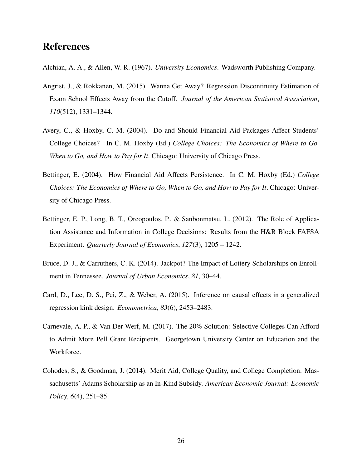### <span id="page-25-0"></span>References

Alchian, A. A., & Allen, W. R. (1967). *University Economics*. Wadsworth Publishing Company.

- Angrist, J., & Rokkanen, M. (2015). Wanna Get Away? Regression Discontinuity Estimation of Exam School Effects Away from the Cutoff. *Journal of the American Statistical Association*, *110*(512), 1331–1344.
- Avery, C., & Hoxby, C. M. (2004). Do and Should Financial Aid Packages Affect Students' College Choices? In C. M. Hoxby (Ed.) *College Choices: The Economics of Where to Go, When to Go, and How to Pay for It*. Chicago: University of Chicago Press.
- Bettinger, E. (2004). How Financial Aid Affects Persistence. In C. M. Hoxby (Ed.) *College Choices: The Economics of Where to Go, When to Go, and How to Pay for It*. Chicago: University of Chicago Press.
- Bettinger, E. P., Long, B. T., Oreopoulos, P., & Sanbonmatsu, L. (2012). The Role of Application Assistance and Information in College Decisions: Results from the H&R Block FAFSA Experiment. *Quarterly Journal of Economics*, *127*(3), 1205 – 1242.
- Bruce, D. J., & Carruthers, C. K. (2014). Jackpot? The Impact of Lottery Scholarships on Enrollment in Tennessee. *Journal of Urban Economics*, *81*, 30–44.
- Card, D., Lee, D. S., Pei, Z., & Weber, A. (2015). Inference on causal effects in a generalized regression kink design. *Econometrica*, *83*(6), 2453–2483.
- Carnevale, A. P., & Van Der Werf, M. (2017). The 20% Solution: Selective Colleges Can Afford to Admit More Pell Grant Recipients. Georgetown University Center on Education and the Workforce.
- Cohodes, S., & Goodman, J. (2014). Merit Aid, College Quality, and College Completion: Massachusetts' Adams Scholarship as an In-Kind Subsidy. *American Economic Journal: Economic Policy*, *6*(4), 251–85.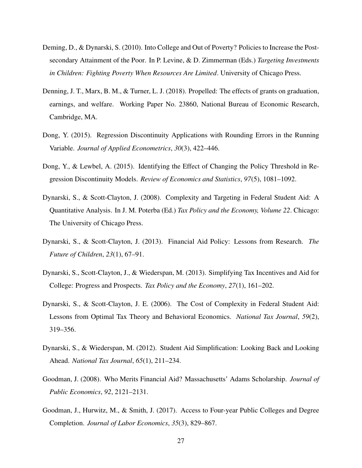- <span id="page-26-0"></span>Deming, D., & Dynarski, S. (2010). Into College and Out of Poverty? Policies to Increase the Postsecondary Attainment of the Poor. In P. Levine, & D. Zimmerman (Eds.) *Targeting Investments in Children: Fighting Poverty When Resources Are Limited*. University of Chicago Press.
- Denning, J. T., Marx, B. M., & Turner, L. J. (2018). Propelled: The effects of grants on graduation, earnings, and welfare. Working Paper No. 23860, National Bureau of Economic Research, Cambridge, MA.
- Dong, Y. (2015). Regression Discontinuity Applications with Rounding Errors in the Running Variable. *Journal of Applied Econometrics*, *30*(3), 422–446.
- Dong, Y., & Lewbel, A. (2015). Identifying the Effect of Changing the Policy Threshold in Regression Discontinuity Models. *Review of Economics and Statistics*, *97*(5), 1081–1092.
- Dynarski, S., & Scott-Clayton, J. (2008). Complexity and Targeting in Federal Student Aid: A Quantitative Analysis. In J. M. Poterba (Ed.) *Tax Policy and the Economy, Volume 22*. Chicago: The University of Chicago Press.
- Dynarski, S., & Scott-Clayton, J. (2013). Financial Aid Policy: Lessons from Research. *The Future of Children*, *23*(1), 67–91.
- Dynarski, S., Scott-Clayton, J., & Wiederspan, M. (2013). Simplifying Tax Incentives and Aid for College: Progress and Prospects. *Tax Policy and the Economy*, *27*(1), 161–202.
- Dynarski, S., & Scott-Clayton, J. E. (2006). The Cost of Complexity in Federal Student Aid: Lessons from Optimal Tax Theory and Behavioral Economics. *National Tax Journal*, *59*(2), 319–356.
- Dynarski, S., & Wiederspan, M. (2012). Student Aid Simplification: Looking Back and Looking Ahead. *National Tax Journal*, *65*(1), 211–234.
- Goodman, J. (2008). Who Merits Financial Aid? Massachusetts' Adams Scholarship. *Journal of Public Economics*, *92*, 2121–2131.
- Goodman, J., Hurwitz, M., & Smith, J. (2017). Access to Four-year Public Colleges and Degree Completion. *Journal of Labor Economics*, *35*(3), 829–867.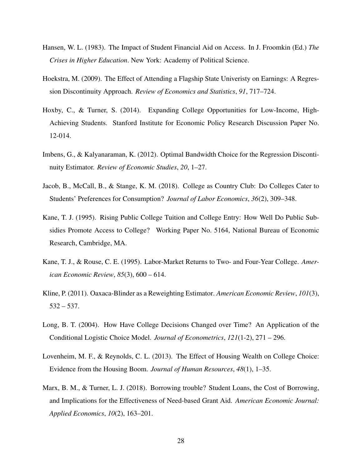- <span id="page-27-0"></span>Hansen, W. L. (1983). The Impact of Student Financial Aid on Access. In J. Froomkin (Ed.) *The Crises in Higher Education*. New York: Academy of Political Science.
- Hoekstra, M. (2009). The Effect of Attending a Flagship State Univeristy on Earnings: A Regression Discontinuity Approach. *Review of Economics and Statistics*, *91*, 717–724.
- Hoxby, C., & Turner, S. (2014). Expanding College Opportunities for Low-Income, High-Achieving Students. Stanford Institute for Economic Policy Research Discussion Paper No. 12-014.
- Imbens, G., & Kalyanaraman, K. (2012). Optimal Bandwidth Choice for the Regression Discontinuity Estimator. *Review of Economic Studies*, *20*, 1–27.
- Jacob, B., McCall, B., & Stange, K. M. (2018). College as Country Club: Do Colleges Cater to Students' Preferences for Consumption? *Journal of Labor Economics*, *36*(2), 309–348.
- Kane, T. J. (1995). Rising Public College Tuition and College Entry: How Well Do Public Subsidies Promote Access to College? Working Paper No. 5164, National Bureau of Economic Research, Cambridge, MA.
- Kane, T. J., & Rouse, C. E. (1995). Labor-Market Returns to Two- and Four-Year College. *American Economic Review*, *85*(3), 600 – 614.
- Kline, P. (2011). Oaxaca-Blinder as a Reweighting Estimator. *American Economic Review*, *101*(3),  $532 - 537.$
- Long, B. T. (2004). How Have College Decisions Changed over Time? An Application of the Conditional Logistic Choice Model. *Journal of Econometrics*, *121*(1-2), 271 – 296.
- Lovenheim, M. F., & Reynolds, C. L. (2013). The Effect of Housing Wealth on College Choice: Evidence from the Housing Boom. *Journal of Human Resources*, *48*(1), 1–35.
- Marx, B. M., & Turner, L. J. (2018). Borrowing trouble? Student Loans, the Cost of Borrowing, and Implications for the Effectiveness of Need-based Grant Aid. *American Economic Journal: Applied Economics*, *10*(2), 163–201.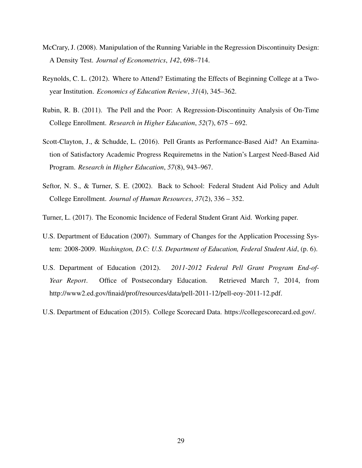- <span id="page-28-0"></span>McCrary, J. (2008). Manipulation of the Running Variable in the Regression Discontinuity Design: A Density Test. *Journal of Econometrics*, *142*, 698–714.
- Reynolds, C. L. (2012). Where to Attend? Estimating the Effects of Beginning College at a Twoyear Institution. *Economics of Education Review*, *31*(4), 345–362.
- Rubin, R. B. (2011). The Pell and the Poor: A Regression-Discontinuity Analysis of On-Time College Enrollment. *Research in Higher Education*, *52*(7), 675 – 692.
- Scott-Clayton, J., & Schudde, L. (2016). Pell Grants as Performance-Based Aid? An Examination of Satisfactory Academic Progress Requiremetns in the Nation's Largest Need-Based Aid Program. *Research in Higher Education*, *57*(8), 943–967.
- Seftor, N. S., & Turner, S. E. (2002). Back to School: Federal Student Aid Policy and Adult College Enrollment. *Journal of Human Resources*, *37*(2), 336 – 352.
- Turner, L. (2017). The Economic Incidence of Federal Student Grant Aid. Working paper.
- U.S. Department of Education (2007). Summary of Changes for the Application Processing System: 2008-2009. *Washington, D.C: U.S. Department of Education, Federal Student Aid*, (p. 6).
- U.S. Department of Education (2012). *2011-2012 Federal Pell Grant Program End-of-Year Report*. Office of Postsecondary Education. Retrieved March 7, 2014, from http://www2.ed.gov/finaid/prof/resources/data/pell-2011-12/pell-eoy-2011-12.pdf.
- U.S. Department of Education (2015). College Scorecard Data. https://collegescorecard.ed.gov/.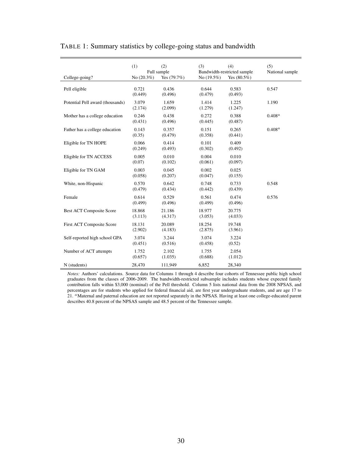|                                  | (1)             | (2)              | (3)              | (4)                         | (5)             |
|----------------------------------|-----------------|------------------|------------------|-----------------------------|-----------------|
|                                  | Full sample     |                  |                  | Bandwidth-restricted sample | National sample |
| College-going?                   | No $(20.3\%)$   | Yes $(79.7%)$    | No $(19.5%)$     | Yes $(80.5\%)$              |                 |
| Pell eligible                    | 0.721           | 0.436            | 0.644            | 0.583                       | 0.547           |
|                                  | (0.449)         | (0.496)          | (0.479)          | (0.493)                     |                 |
| Potential Pell award (thousands) | 3.079           | 1.659            | 1.414            | 1.225                       | 1.190           |
|                                  | (2.174)         | (2.099)          | (1.279)          | (1.247)                     |                 |
| Mother has a college education   | 0.246           | 0.438            | 0.272            | 0.388                       | $0.408^a$       |
|                                  | (0.431)         | (0.496)          | (0.445)          | (0.487)                     |                 |
| Father has a college education   | 0.143           | 0.357            | 0.151            | 0.265                       | $0.408^{a}$     |
|                                  | (0.35)          | (0.479)          | (0.358)          | (0.441)                     |                 |
| Eligible for TN HOPE             | 0.066           | 0.414            | 0.101            | 0.409                       |                 |
|                                  | (0.249)         | (0.493)          | (0.302)          | (0.492)                     |                 |
| Eligible for TN ACCESS           | 0.005<br>(0.07) | 0.010<br>(0.102) | 0.004<br>(0.061) | 0.010<br>(0.097)            |                 |
|                                  | 0.003           | 0.045            | 0.002            | 0.025                       |                 |
| Eligible for TN GAM              | (0.058)         | (0.207)          | (0.047)          | (0.155)                     |                 |
| White, non-Hispanic              | 0.570           | 0.642            | 0.748            | 0.733                       | 0.548           |
|                                  | (0.479)         | (0.434)          | (0.442)          | (0.439)                     |                 |
| Female                           | 0.614           | 0.529            | 0.561            | 0.474                       | 0.576           |
|                                  | (0.499)         | (0.496)          | (0.499)          | (0.496)                     |                 |
| <b>Best ACT Composite Score</b>  | 18.868          | 21.186           | 18.977           | 20.775                      |                 |
|                                  | (3.113)         | (4.317)          | (3.053)          | (4.033)                     |                 |
| First ACT Composite Score        | 18.131          | 20.089           | 18.254           | 19.748                      |                 |
|                                  | (2.902)         | (4.183)          | (2.875)          | (3.961)                     |                 |
| Self-reported high school GPA    | 3.074           | 3.244            | 3.074            | 3.224                       |                 |
|                                  | (0.451)         | (0.516)          | (0.458)          | (0.52)                      |                 |
| Number of ACT attempts           | 1.752           | 2.102            | 1.755            | 2.054                       |                 |
|                                  | (0.657)         | (1.035)          | (0.688)          | (1.012)                     |                 |

#### <span id="page-29-0"></span>TABLE 1: Summary statistics by college-going status and bandwidth

*Notes:* Authors' calculations. Source data for Columns 1 through 4 describe four cohorts of Tennessee public high school graduates from the classes of 2006-2009. The bandwidth-restricted subsample includes students whose expected family contribution falls within \$3,000 (nominal) of the Pell threshold. Column 5 lists national data from the 2008 NPSAS, and percentages are for students who applied for federal financial aid, are first year undergraduate students, and are age 17 to 21. *<sup>a</sup>*Maternal and paternal education are not reported separately in the NPSAS. Having at least one college-educated parent describes 40.8 percent of the NPSAS sample and 48.5 percent of the Tennessee sample.

N (students) 28,470 111,949 6,852 28,340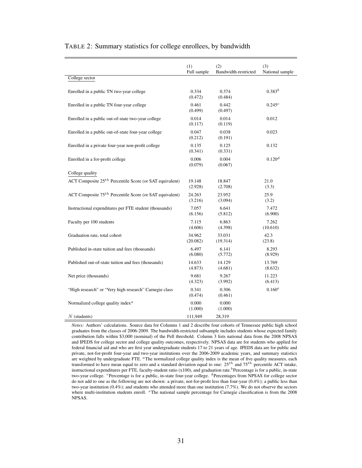|                                                           | (1)<br>Full sample | (2)<br>Bandwidth-restricted | (3)<br>National sample |
|-----------------------------------------------------------|--------------------|-----------------------------|------------------------|
| College sector                                            |                    |                             |                        |
|                                                           |                    |                             |                        |
| Enrolled in a public TN two-year college                  | 0.334<br>(0.472)   | 0.374<br>(0.484)            | $0.383^{b}$            |
| Enrolled in a public TN four-year college                 | 0.461<br>(0.499)   | 0.442<br>(0.497)            | 0.245c                 |
| Enrolled in a public out-of-state two-year college        | 0.014<br>(0.117)   | 0.014<br>(0.119)            | 0.012                  |
| Enrolled in a public out-of-state four-year college       | 0.047<br>(0.212)   | 0.038<br>(0.191)            | 0.023                  |
| Enrolled in a private four-year non-profit college        | 0.135<br>(0.341)   | 0.125<br>(0.331)            | 0.132                  |
| Enrolled in a for-profit college                          | 0.006<br>(0.079)   | 0.004<br>(0.067)            | 0.120 <sup>d</sup>     |
| College quality                                           |                    |                             |                        |
| ACT Composite $25th$ Percentile Score (or SAT equivalent) | 19.148<br>(2.928)  | 18.847<br>(2.708)           | 21.0<br>(3.3)          |
| ACT Composite $75th$ Percentile Score (or SAT equivalent) | 24.263<br>(3.216)  | 23.952<br>(3.094)           | 25.9<br>(3.2)          |
| Instructional expenditures per FTE student (thousands)    | 7.057<br>(6.156)   | 6.641<br>(5.812)            | 7.472<br>(6.900)       |
| Faculty per 100 students                                  | 7.115<br>(4.606)   | 6.863<br>(4.398)            | 7.262<br>(10.610)      |
| Graduation rate, total cohort                             | 34.962<br>(20.082) | 33.031<br>(19.314)          | 42.3<br>(23.8)         |
| Published in-state tuition and fees (thousands)           | 6.497<br>(6.080)   | 6.141<br>(5.772)            | 8.293<br>(8.929)       |
| Published out-of-state tuition and fees (thousands)       | 14.633<br>(4.873)  | 14.129<br>(4.681)           | 13.769<br>(8.632)      |
| Net price (thousands)                                     | 9.681<br>(4.323)   | 9.267<br>(3.992)            | 11.223<br>(6.413)      |
| "High research" or "Very high research" Carnegie class    | 0.341<br>(0.474)   | 0.306<br>(0.461)            | $0.160^e$              |
| Normalized college quality index <sup><i>a</i></sup>      | 0.000<br>(1.000)   | 0.000<br>(1.000)            |                        |
| $N$ (students)                                            | 111,949            | 28,319                      |                        |

#### <span id="page-30-0"></span>TABLE 2: Summary statistics for college enrollees, by bandwidth

*Notes:* Authors' calculations. Source data for Columns 1 and 2 describe four cohorts of Tennessee public high school graduates from the classes of 2006-2009. The bandwidth-restricted subsample includes students whose expected family contribution falls within \$3,000 (nominal) of the Pell threshold. Column 3 lists national data from the 2008 NPSAS and IPEDS for college sector and college quality outcomes, respectively. NPSAS data are for students who applied for federal financial aid and who are first year undergraduate students 17 to 21 years of age. IPEDS data are for public and private, not-for-profit four-year and two-year institutions over the 2006-2009 academic years, and summary statistics are weighted by undergraduate FTE. *<sup>a</sup>*The normalized college quality index is the mean of five quality measures, each transformed to have mean equal to zero and a standard deviation equal to one: 25*th* and 75*th* percentile ACT intake, instructional expenditures per FTE, faculty-student ratio (x100), and graduation rate.<sup>*b*</sup>Percentage is for a public, in-state two-year college. *<sup>c</sup>*Percentage is for a public, in-state four-year college. *<sup>d</sup>*Percentages from NPSAS for college sector do not add to one as the following are not shown: a private, not-for-profit less than four-year (0.4%); a public less than two-year institution (0.4%); and students who attended more than one institution (7.7%). We do not observe the sectors where multi-institution students enroll. *<sup>e</sup>*The national sample percentage for Carnegie classification is from the 2008 NPSAS.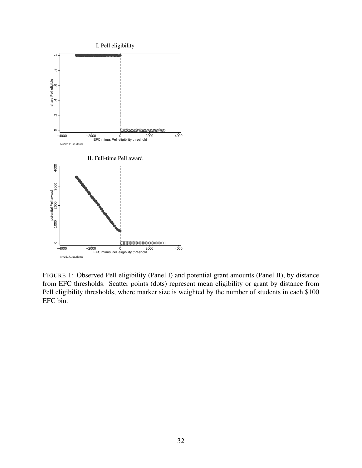<span id="page-31-0"></span>

FIGURE 1: Observed Pell eligibility (Panel I) and potential grant amounts (Panel II), by distance from EFC thresholds. Scatter points (dots) represent mean eligibility or grant by distance from Pell eligibility thresholds, where marker size is weighted by the number of students in each \$100 EFC bin.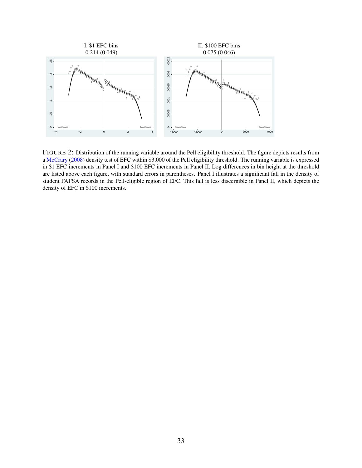<span id="page-32-0"></span>

FIGURE 2: Distribution of the running variable around the Pell eligibility threshold. The figure depicts results from a [McCrary](#page-28-0) [\(2008](#page-28-0)) density test of EFC within \$3,000 of the Pell eligibility threshold. The running variable is expressed in \$1 EFC increments in Panel I and \$100 EFC increments in Panel II. Log differences in bin height at the threshold are listed above each figure, with standard errors in parentheses. Panel I illustrates a significant fall in the density of student FAFSA records in the Pell-eligible region of EFC. This fall is less discernible in Panel II, which depicts the density of EFC in \$100 increments.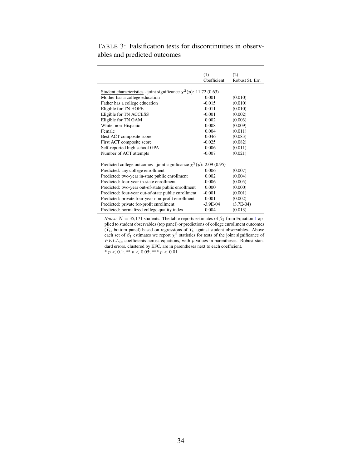|                                                                           | (1)<br>Coefficient | (2)<br>Robust St. Err. |
|---------------------------------------------------------------------------|--------------------|------------------------|
| Student characteristics - joint significance $\chi^2(p)$ : 11.72 (0.63)   |                    |                        |
| Mother has a college education                                            | 0.001              | (0.010)                |
| Father has a college education                                            | $-0.015$           | (0.010)                |
| Eligible for TN HOPE                                                      | $-0.011$           | (0.010)                |
| Eligible for TN ACCESS                                                    | $-0.001$           | (0.002)                |
| Eligible for TN GAM                                                       | 0.002              | (0.003)                |
| White, non-Hispanic                                                       | 0.008              | (0.009)                |
| Female                                                                    | 0.004              | (0.011)                |
| Best ACT composite score                                                  | $-0.046$           | (0.083)                |
| First ACT composite score                                                 | $-0.025$           | (0.082)                |
| Self-reported high school GPA                                             | 0.006              | (0.011)                |
| Number of ACT attempts                                                    | $-0.007$           | (0.021)                |
| Predicted college outcomes - joint significance $\chi^2(p)$ : 2.09 (0.95) |                    |                        |
| Predicted: any college enrollment                                         | $-0.006$           | (0.007)                |
| Predicted: two-year in-state public enrollment                            | 0.002              | (0.004)                |
| Predicted: four-year in-state enrollment                                  | $-0.006$           | (0.005)                |
| Predicted: two-year out-of-state public enrollment                        | 0.000              | (0.000)                |
| Predicted: four-year out-of-state public enrollment                       | $-0.001$           | (0.001)                |
| Predicted: private four-year non-profit enrollment                        | $-0.001$           | (0.002)                |
| Predicted: private for-profit enrollment                                  | $-3.9E-04$         | $(3.7E-04)$            |
| Predicted: normalized college quality index                               | 0.004              | (0.013)                |
|                                                                           |                    |                        |

<span id="page-33-0"></span>TABLE 3: Falsification tests for discontinuities in observables and predicted outcomes

*Notes:*  $N = 35,171$  $N = 35,171$  $N = 35,171$  students. The table reports estimates of  $\beta_1$  from Equation 1 applied to student observables (top panel) or predictions of college enrollment outcomes  $(\hat{Y}_i, \text{ bottom panel})$  based on regressions of  $Y_i$  against student observables. Above each set of  $\beta_1$  estimates we report  $\chi^2$  statistics for tests of the joint significance of *PELL<sub>ic</sub>* coefficients across equations, with *p*-values in parentheses. Robust standard errors, clustered by EFC, are in parentheses next to each coefficient.  $* p < 0.1; ** p < 0.05; ** p < 0.01$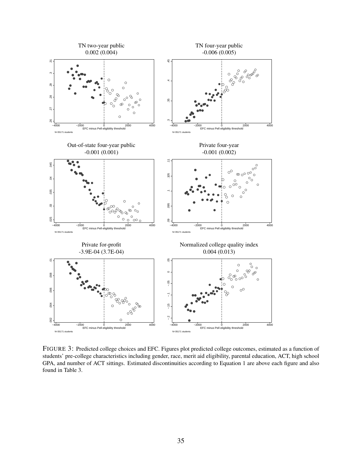<span id="page-34-0"></span>

FIGURE 3: Predicted college choices and EFC. Figures plot predicted college outcomes, estimated as a function of students' pre-college characteristics including gender, race, merit aid eligibility, parental education, ACT, high school GPA, and number of ACT sittings. Estimated discontinuities according to Equation 1 are above each figure and also found in Table 3.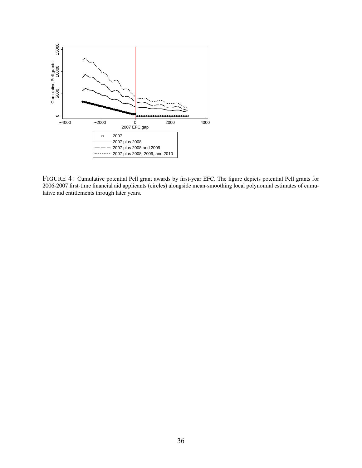<span id="page-35-0"></span>

FIGURE 4: Cumulative potential Pell grant awards by first-year EFC. The figure depicts potential Pell grants for 2006-2007 first-time financial aid applicants (circles) alongside mean-smoothing local polynomial estimates of cumulative aid entitlements through later years.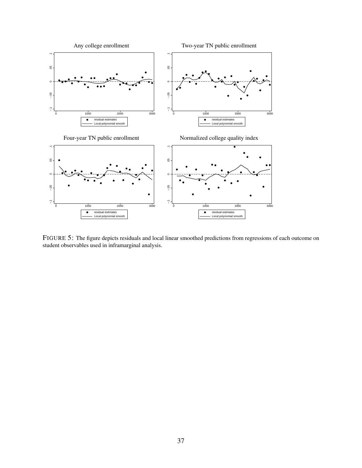<span id="page-36-0"></span>

FIGURE 5: The figure depicts residuals and local linear smoothed predictions from regressions of each outcome on student observables used in inframarginal analysis.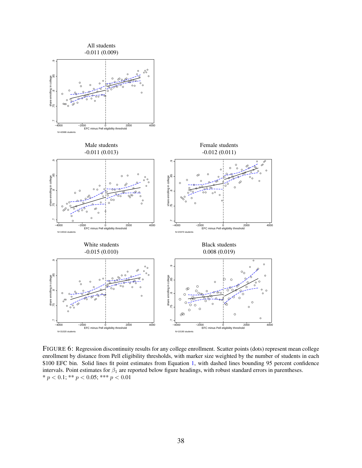<span id="page-37-0"></span>

FIGURE 6: Regression discontinuity results for any college enrollment. Scatter points (dots) represent mean college enrollment by distance from Pell eligibility thresholds, with marker size weighted by the number of students in each \$100 EFC bin. Solid lines fit point estimates from Equation [1,](#page-10-0) with dashed lines bounding 95 percent confidence intervals. Point estimates for *β*<sup>1</sup> are reported below figure headings, with robust standard errors in parentheses. \* *p <* 0.1; \*\* *p <* 0.05; \*\*\* *p <* 0.01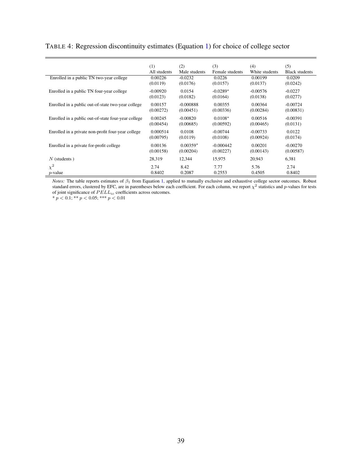| Enrolled in a public TN two-year college            | (1)          | (2)           | (3)             | (4)            | (5)                   |
|-----------------------------------------------------|--------------|---------------|-----------------|----------------|-----------------------|
|                                                     | All students | Male students | Female students | White students | <b>Black students</b> |
|                                                     | 0.00226      | $-0.0232$     | 0.0226          | 0.00199        | 0.0209                |
| Enrolled in a public TN four-year college           | (0.0119)     | (0.0176)      | (0.0157)        | (0.0137)       | (0.0242)              |
|                                                     | $-0.00920$   | 0.0154        | $-0.0289*$      | $-0.00576$     | $-0.0227$             |
|                                                     | (0.0123)     | (0.0182)      | (0.0164)        | (0.0138)       | (0.0277)              |
| Enrolled in a public out-of-state two-year college  | 0.00157      | $-0.000888$   | 0.00355         | 0.00364        | $-0.00724$            |
|                                                     | (0.00272)    | (0.00451)     | (0.00336)       | (0.00284)      | (0.00831)             |
| Enrolled in a public out-of-state four-year college | 0.00245      | $-0.00820$    | $0.0108*$       | 0.00516        | $-0.00391$            |
|                                                     | (0.00454)    | (0.00685)     | (0.00592)       | (0.00465)      | (0.0131)              |
| Enrolled in a private non-profit four-year college  | 0.000514     | 0.0108        | $-0.00744$      | $-0.00733$     | 0.0122                |
|                                                     | (0.00795)    | (0.0119)      | (0.0108)        | (0.00924)      | (0.0174)              |
| Enrolled in a private for-profit college.           | 0.00136      | $0.00359*$    | $-0.000442$     | 0.00201        | $-0.00270$            |
|                                                     | (0.00158)    | (0.00204)     | (0.00227)       | (0.00143)      | (0.00587)             |
| $N$ (students)                                      | 28,319       | 12,344        | 15,975          | 20,943         | 6,381                 |
| $\chi^2$                                            | 2.74         | 8.42          | 7.77            | 5.76           | 2.74                  |
| $p$ -value                                          | 0.8402       | 0.2087        | 0.2553          | 0.4505         | 0.8402                |

#### <span id="page-38-0"></span>TABLE 4: Regression discontinuity estimates (Equation [1](#page-10-0)) for choice of college sector

*Notes:* The table reports estimates of *β*<sup>1</sup> from Equation [1,](#page-10-0) applied to mutually exclusive and exhaustive college sector outcomes. Robust standard errors, clustered by EFC, are in parentheses below each coefficient. For each column, we report *χ* 2 statistics and *p*-values for tests of joint significance of *P ELLic* coefficients across outcomes.

\* *p <* 0.1; \*\* *p <* 0.05; \*\*\* *p <* 0.01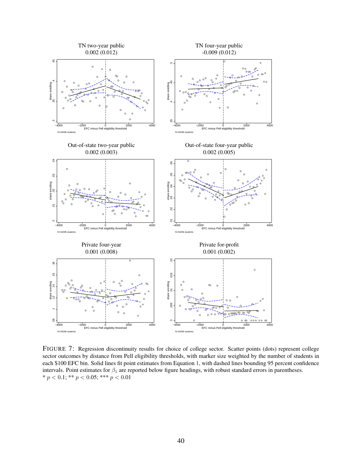<span id="page-39-0"></span>

FIGURE 7: Regression discontinuity results for choice of college sector. Scatter points (dots) represent college sector outcomes by distance from Pell eligibility thresholds, with marker size weighted by the number of students in each \$100 EFC bin. Solid lines fit point estimates from Equation [1,](#page-10-0) with dashed lines bounding 95 percent confidence intervals. Point estimates for *β*<sup>1</sup> are reported below figure headings, with robust standard errors in parentheses. \* *p <* 0.1; \*\* *p <* 0.05; \*\*\* *p <* 0.01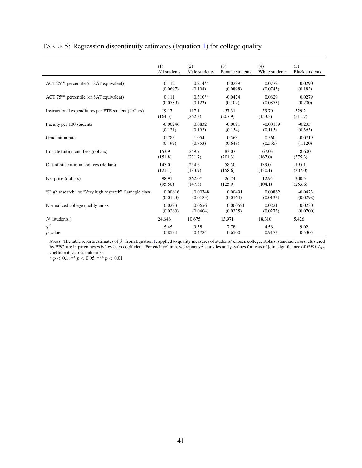|                                                        | (1)          | (2)           | (3)             | (4)            | (5)                   |
|--------------------------------------------------------|--------------|---------------|-----------------|----------------|-----------------------|
|                                                        | All students | Male students | Female students | White students | <b>Black students</b> |
| ACT $25th$ percentile (or SAT equivalent)              | 0.112        | $0.214**$     | 0.0299          | 0.0772         | 0.0290                |
|                                                        | (0.0697)     | (0.108)       | (0.0898)        | (0.0745)       | (0.183)               |
| ACT $75th$ percentile (or SAT equivalent)              | 0.111        | $0.310**$     | $-0.0474$       | 0.0829         | 0.0279                |
|                                                        | (0.0789)     | (0.123)       | (0.102)         | (0.0873)       | (0.200)               |
| Instructional expenditures per FTE student (dollars)   | 19.17        | 117.1         | $-57.31$        | 59.70          | $-529.2$              |
|                                                        | (164.3)      | (262.3)       | (207.9)         | (153.3)        | (511.7)               |
| Faculty per 100 students                               | $-0.00246$   | 0.0832        | $-0.0691$       | $-0.00139$     | $-0.235$              |
|                                                        | (0.121)      | (0.192)       | (0.154)         | (0.115)        | (0.365)               |
| Graduation rate                                        | 0.783        | 1.054         | 0.563           | 0.560          | $-0.0719$             |
|                                                        | (0.499)      | (0.753)       | (0.648)         | (0.565)        | (1.120)               |
| In-state tuition and fees (dollars)                    | 153.9        | 249.7         | 83.07           | 67.03          | $-8.600$              |
|                                                        | (151.8)      | (231.7)       | (201.3)         | (167.0)        | (375.3)               |
| Out-of-state tuition and fees (dollars)                | 145.0        | 254.6         | 58.50           | 139.0          | $-195.1$              |
|                                                        | (121.4)      | (183.9)       | (158.6)         | (130.1)        | (307.0)               |
| Net price (dollars)                                    | 98.91        | $262.0*$      | $-26.74$        | 12.94          | 200.5                 |
|                                                        | (95.50)      | (147.3)       | (125.9)         | (104.1)        | (253.6)               |
| "High research" or "Very high research" Carnegie class | 0.00616      | 0.00748       | 0.00491         | 0.00862        | $-0.0423$             |
|                                                        | (0.0123)     | (0.0183)      | (0.0164)        | (0.0133)       | (0.0298)              |
| Normalized college quality index                       | 0.0293       | 0.0656        | 0.000521        | 0.0221         | $-0.0230$             |
|                                                        | (0.0260)     | (0.0404)      | (0.0335)        | (0.0273)       | (0.0700)              |
| $N$ (students)                                         | 24,646       | 10,675        | 13,971          | 18,310         | 5,426                 |
| $\chi^2$                                               | 5.45         | 9.58          | 7.78            | 4.58           | 9.02                  |
| $p$ -value                                             | 0.8594       | 0.4784        | 0.6500          | 0.9173         | 0.5305                |

#### <span id="page-40-0"></span>TABLE 5: Regression discontinuity estimates (Equation [1](#page-10-0)) for college quality

*Notes:* The table reports estimates of *β*<sup>1</sup> from Equation [1,](#page-10-0) applied to quality measures of students' chosen college. Robust standard errors, clustered by EFC, are in parentheses below each coefficient. For each column, we report  $\chi^2$  statistics and *p*-values for tests of joint significance of  $PELL_{ic}$ coefficients across outcomes.

\* *p <* 0.1; \*\* *p <* 0.05; \*\*\* *p <* 0.01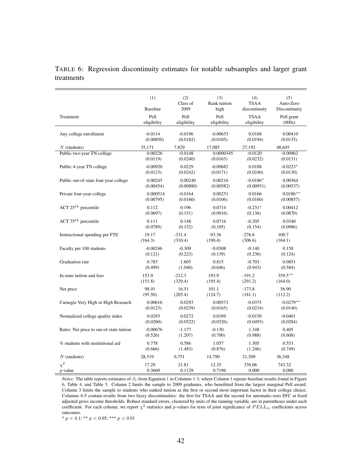<span id="page-41-0"></span>

|            | TABLE 6: Regression discontinuity estimates for notable subsamples and larger grant |  |  |  |  |
|------------|-------------------------------------------------------------------------------------|--|--|--|--|
| treatments |                                                                                     |  |  |  |  |

|                                          | (1)             | (2)              | (3)                  | (4)                          | (5)                        |
|------------------------------------------|-----------------|------------------|----------------------|------------------------------|----------------------------|
|                                          | <b>Baseline</b> | Class of<br>2009 | Rank tuition<br>high | <b>TSAA</b><br>discontinuity | Auto-Zero<br>Discontinuity |
| Treatment                                | Pell            | Pell             | Pell                 | <b>TSAA</b>                  | Pell grant                 |
|                                          | eligibility     | eligibility      | eligibility          | eligibility                  | (000s)                     |
| Any college enrollment                   | $-0.0114$       | $-0.0196$        | $-0.00633$           | 0.0168                       | 0.00410                    |
|                                          | (0.00850)       | (0.0182)         | (0.0105)             | (0.0194)                     | (0.0135)                   |
| $N$ (students)                           | 35,171          | 7,829            | 17,085               | 27,192                       | 48,645                     |
| Public two-year TN college               | 0.00226         | $-0.0148$        | 0.0000345            | $-0.0120$                    | $-0.00962$                 |
|                                          | (0.0119)        | (0.0240)         | (0.0163)             | (0.0232)                     | (0.0131)                   |
| Public 4-year TN college                 | $-0.00920$      | 0.0229           | $-0.00682$           | 0.0188                       | $-0.0223*$                 |
|                                          | (0.0123)        | (0.0242)         | (0.0171)             | (0.0240)                     | (0.0130)                   |
| Public out-of-state four-year college    | 0.00245         | 0.00240          | 0.00216              | $-0.0186*$                   | 0.00364                    |
|                                          | (0.00454)       | (0.00880)        | (0.00582)            | (0.00951)                    | (0.00537)                  |
| Private four-year college                | 0.000514        | $-0.0164$        | 0.00251              | 0.0166                       | $0.0186**$                 |
|                                          | (0.00795)       | (0.0160)         | (0.0106)             | (0.0160)                     | (0.00857)                  |
| ACT $25^{th}$ percentile                 | 0.112           | 0.196            | 0.0714               | $-0.231*$                    | 0.00412                    |
|                                          | (0.0697)        | (0.151)          | (0.0916)             | (0.136)                      | (0.0870)                   |
| ACT $75^{th}$ percentile                 | 0.111           | 0.148            | 0.0716               | $-0.205$                     | 0.0340                     |
|                                          | (0.0789)        | (0.152)          | (0.105)              | (0.154)                      | (0.0986)                   |
| Instructional spending per FTE           | 19.17           | $-331.4$         | $-93.36$             | $-276.6$                     | 100.7                      |
|                                          | (164.3)         | (310.4)          | (190.4)              | (306.6)                      | (164.1)                    |
| Faculty per 100 students                 | $-0.00246$      | $-0.309$         | $-0.0308$            | $-0.140$                     | 0.158                      |
|                                          | (0.121)         | (0.223)          | (0.139)              | (0.236)                      | (0.124)                    |
| Graduation rate                          | 0.783           | 1.605            | 0.815                | $-0.703$                     | 0.0851                     |
|                                          | (0.499)         | (1.040)          | (0.646)              | (0.943)                      | (0.584)                    |
| In-state tuition and fees                | 153.9           | $-212.3$         | 193.9                | $-191.2$                     | 359.5**                    |
|                                          | (151.8)         | (329.4)          | (195.4)              | (291.2)                      | (164.0)                    |
| Net price                                | 98.91           | 16.51            | 101.1                | $-173.8$                     | 56.90                      |
|                                          | (95.50)         | (205.4)          | (124.7)              | (181.1)                      | (112.2)                    |
| Carnegie Very High or High Research      | 0.00616         | 0.0293           | 0.00571              | $-0.0375$                    | $-0.0279**$                |
|                                          | (0.0123)        | (0.0239)         | (0.0165)             | (0.0234)                     | (0.0140)                   |
| Normalized college quality index         | 0.0293          | 0.0272           | 0.0189               | $-0.0150$                    | $-0.0401$                  |
|                                          | (0.0260)        | (0.0522)         | (0.0326)             | (0.0493)                     | (0.0284)                   |
| Ratio: Net price to out-of-state tuition | $-0.00676$      | $-1.177$         | $-0.130$             | 1.348                        | 0.405                      |
|                                          | (0.526)         | (1.207)          | (0.700)              | (0.988)                      | (0.608)                    |
| % students with institutional aid        | 0.778           | 0.586            | 1.057                | 1.305                        | 0.553                      |
|                                          | (0.666)         | (1.483)          | (0.876)              | (1.246)                      | (0.749)                    |
| $N$ (students)                           | 28,319          | 6,751            | 14,790               | 21,309                       | 36,348                     |
| $\chi^2$                                 | 17.29           | 21.81            | 12.35                | 376.06                       | 743.32                     |
| $p$ -value                               | 0.3669          | 0.1129           | 0.7196               | 0.000                        | 0.000                      |

*Notes:* The table reports estimates of  $β_1$  $β_1$  from Equation 1 in Columns 1-3, where Column 1 repeats baseline results found in Figure [6,](#page-37-0) Table [4](#page-38-0), and Table [5.](#page-40-0) Column 2 limits the sample to 2009 graduates, who benefitted from the largest marginal Pell award. Column 3 limits the sample to students who ranked tuition as the first or second most important factor in their college choice. Columns 4-5 contain results from two fuzzy discontinuities: the first for TSAA and the second for automatic-zero EFC at fixed adjusted gross income thresholds. Robust standard errors, clustered by units of the running variable, are in parentheses under each coefficient. For each column, we report *χ* 2 statistics and *p*-values for tests of joint significance of *P ELLic* coefficients across outcomes.

\* *p <* 0.1; \*\* *p <* 0.05; \*\*\* *p <* 0.01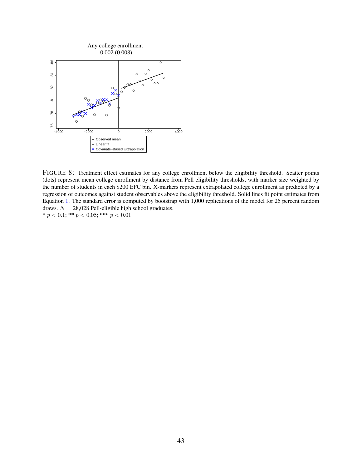<span id="page-42-0"></span>

FIGURE 8: Treatment effect estimates for any college enrollment below the eligibility threshold. Scatter points (dots) represent mean college enrollment by distance from Pell eligibility thresholds, with marker size weighted by the number of students in each \$200 EFC bin. X-markers represent extrapolated college enrollment as predicted by a regression of outcomes against student observables above the eligibility threshold. Solid lines fit point estimates from Equation [1.](#page-10-0) The standard error is computed by bootstrap with 1,000 replications of the model for 25 percent random draws.  $N = 28,028$  Pell-eligible high school graduates.  $* p < 0.1; ** p < 0.05; ** p < 0.01$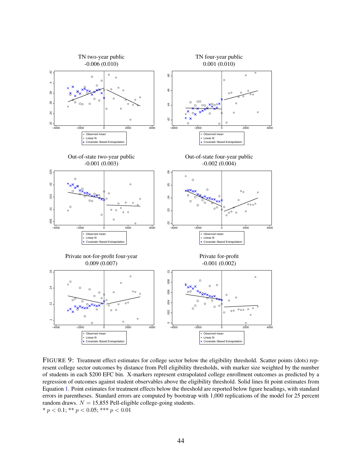<span id="page-43-0"></span>

FIGURE 9: Treatment effect estimates for college sector below the eligibility threshold. Scatter points (dots) represent college sector outcomes by distance from Pell eligibility thresholds, with marker size weighted by the number of students in each \$200 EFC bin. X-markers represent extrapolated college enrollment outcomes as predicted by a regression of outcomes against student observables above the eligibility threshold. Solid lines fit point estimates from Equation [1](#page-10-0). Point estimates for treatment effects below the threshold are reported below figure headings, with standard errors in parentheses. Standard errors are computed by bootstrap with 1,000 replications of the model for 25 percent random draws.  $N = 15,855$  Pell-eligible college-going students. \* *p <* 0.1; \*\* *p <* 0.05; \*\*\* *p <* 0.01